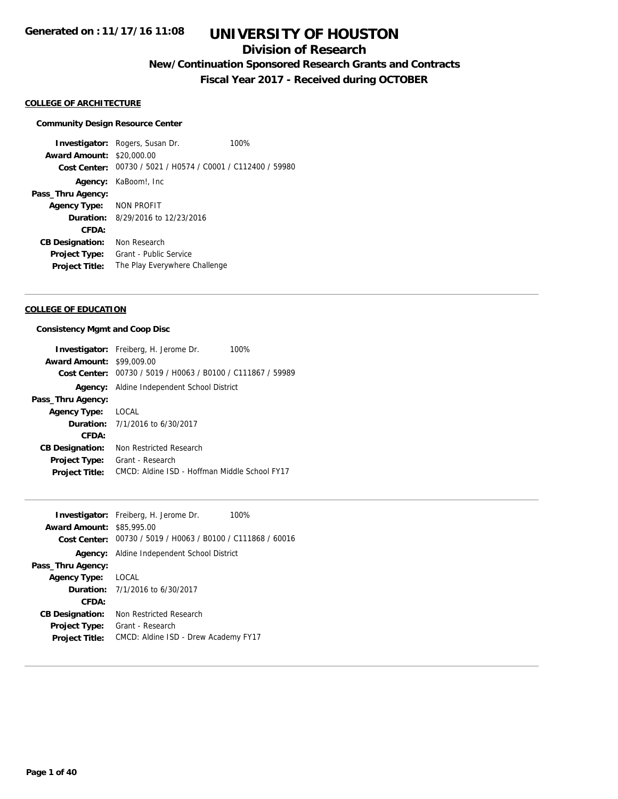### **Division of Research**

**New/Continuation Sponsored Research Grants and Contracts**

**Fiscal Year 2017 - Received during OCTOBER**

#### **COLLEGE OF ARCHITECTURE**

#### **Community Design Resource Center**

**Investigator:** Rogers, Susan Dr. 100% **Award Amount:** \$20,000.00 **Cost Center:** 00730 / 5021 / H0574 / C0001 / C112400 / 59980 **Agency:** KaBoom!, Inc **Pass\_Thru Agency: Agency Type:** NON PROFIT **Duration:** 8/29/2016 to 12/23/2016 **CFDA: CB Designation:** Non Research **Project Type:** Grant - Public Service **Project Title:** The Play Everywhere Challenge

#### **COLLEGE OF EDUCATION**

#### **Consistency Mgmt and Coop Disc**

|                                  | <b>Investigator:</b> Freiberg, H. Jerome Dr.<br>100%        |
|----------------------------------|-------------------------------------------------------------|
| <b>Award Amount: \$99,009.00</b> |                                                             |
|                                  | Cost Center: 00730 / 5019 / H0063 / B0100 / C111867 / 59989 |
|                                  | Agency: Aldine Independent School District                  |
| Pass_Thru Agency:                |                                                             |
| <b>Agency Type:</b>              | LOCAL                                                       |
|                                  | <b>Duration:</b> 7/1/2016 to 6/30/2017                      |
| CFDA:                            |                                                             |
| <b>CB Designation:</b>           | Non Restricted Research                                     |
| <b>Project Type:</b>             | Grant - Research                                            |
| <b>Project Title:</b>            | CMCD: Aldine ISD - Hoffman Middle School FY17               |

| <b>Investigator:</b> Freiberg, H. Jerome Dr.      | 100%                                                        |
|---------------------------------------------------|-------------------------------------------------------------|
| <b>Award Amount: \$85,995.00</b>                  |                                                             |
|                                                   | Cost Center: 00730 / 5019 / H0063 / B0100 / C111868 / 60016 |
| <b>Agency:</b> Aldine Independent School District |                                                             |
| Pass_Thru Agency:                                 |                                                             |
| LOCAL<br><b>Agency Type:</b>                      |                                                             |
| <b>Duration:</b> 7/1/2016 to 6/30/2017            |                                                             |
| CFDA:                                             |                                                             |
| <b>CB Designation:</b>                            | Non Restricted Research                                     |
| Grant - Research<br><b>Project Type:</b>          |                                                             |
| <b>Project Title:</b>                             | CMCD: Aldine ISD - Drew Academy FY17                        |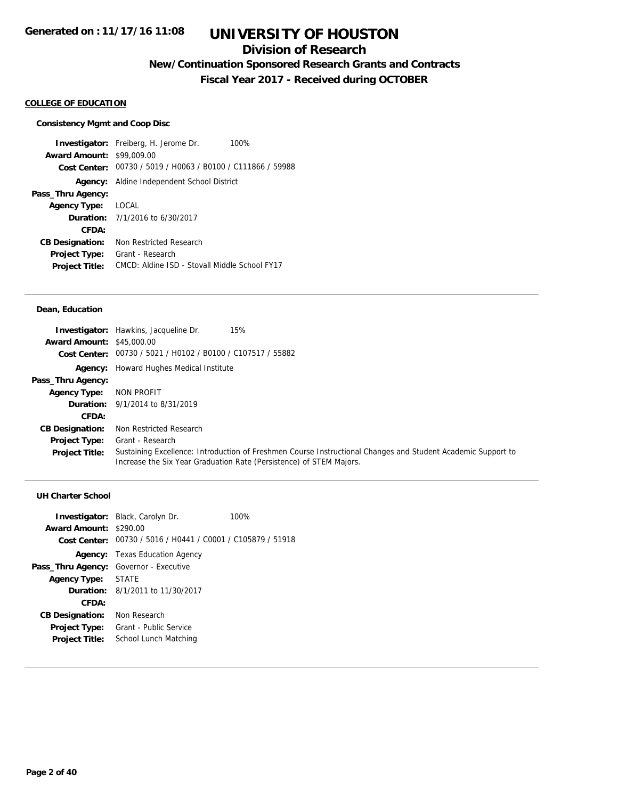### **Division of Research**

**New/Continuation Sponsored Research Grants and Contracts**

**Fiscal Year 2017 - Received during OCTOBER**

#### **COLLEGE OF EDUCATION**

#### **Consistency Mgmt and Coop Disc**

**Investigator:** Freiberg, H. Jerome Dr. 100% **Award Amount:** \$99,009.00 **Cost Center:** 00730 / 5019 / H0063 / B0100 / C111866 / 59988 **Agency:** Aldine Independent School District **Pass\_Thru Agency: Agency Type:** LOCAL **Duration:** 7/1/2016 to 6/30/2017 **CFDA: CB Designation:** Non Restricted Research **Project Type:** Grant - Research **Project Title:** CMCD: Aldine ISD - Stovall Middle School FY17

#### **Dean, Education**

|                                  | <b>Investigator:</b> Hawkins, Jacqueline Dr.<br>15%                                                                                                                                 |
|----------------------------------|-------------------------------------------------------------------------------------------------------------------------------------------------------------------------------------|
| <b>Award Amount: \$45,000.00</b> |                                                                                                                                                                                     |
|                                  | Cost Center: 00730 / 5021 / H0102 / B0100 / C107517 / 55882                                                                                                                         |
|                                  | <b>Agency:</b> Howard Hughes Medical Institute                                                                                                                                      |
| Pass_Thru Agency:                |                                                                                                                                                                                     |
| <b>Agency Type:</b>              | NON PROFIT                                                                                                                                                                          |
|                                  | <b>Duration:</b> 9/1/2014 to 8/31/2019                                                                                                                                              |
| CFDA:                            |                                                                                                                                                                                     |
| <b>CB Designation:</b>           | Non Restricted Research                                                                                                                                                             |
| <b>Project Type:</b>             | Grant - Research                                                                                                                                                                    |
| <b>Project Title:</b>            | Sustaining Excellence: Introduction of Freshmen Course Instructional Changes and Student Academic Support to<br>Increase the Six Year Graduation Rate (Persistence) of STEM Majors. |

| Award Amount: \$290.00                 | <b>Investigator:</b> Black, Carolyn Dr.<br>Cost Center: 00730 / 5016 / H0441 / C0001 / C105879 / 51918 | 100% |
|----------------------------------------|--------------------------------------------------------------------------------------------------------|------|
|                                        | <b>Agency:</b> Texas Education Agency                                                                  |      |
| Pass_Thru Agency: Governor - Executive |                                                                                                        |      |
| Agency Type: STATE                     |                                                                                                        |      |
|                                        | <b>Duration:</b> 8/1/2011 to 11/30/2017                                                                |      |
| CFDA:                                  |                                                                                                        |      |
| <b>CB Designation:</b>                 | Non Research                                                                                           |      |
| <b>Project Type:</b>                   | Grant - Public Service                                                                                 |      |
| <b>Project Title:</b>                  | School Lunch Matching                                                                                  |      |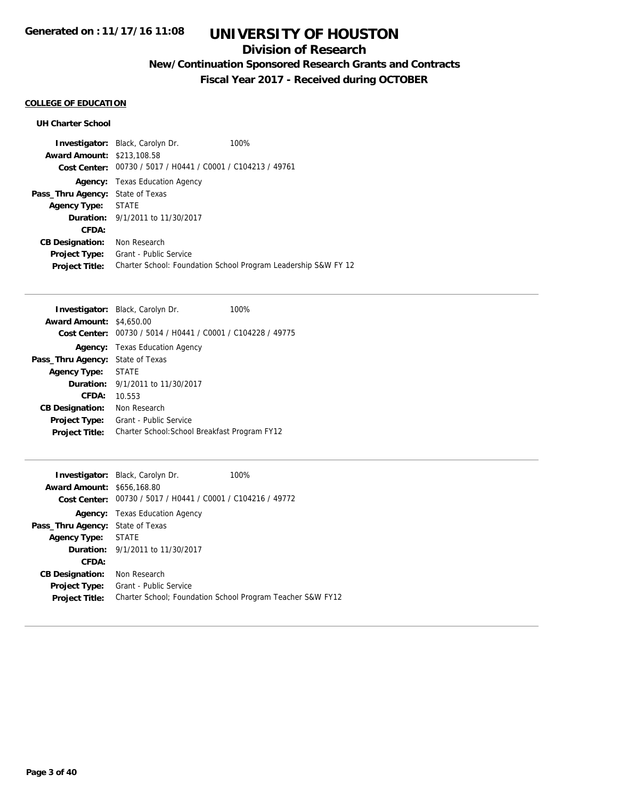### **Division of Research**

## **New/Continuation Sponsored Research Grants and Contracts**

**Fiscal Year 2017 - Received during OCTOBER**

### **COLLEGE OF EDUCATION**

|                                         | <b>Investigator:</b> Black, Carolyn Dr.                     | 100%                                                           |
|-----------------------------------------|-------------------------------------------------------------|----------------------------------------------------------------|
| <b>Award Amount: \$213,108.58</b>       |                                                             |                                                                |
|                                         | Cost Center: 00730 / 5017 / H0441 / C0001 / C104213 / 49761 |                                                                |
| Agency:                                 | Texas Education Agency                                      |                                                                |
| <b>Pass_Thru Agency: State of Texas</b> |                                                             |                                                                |
| <b>Agency Type: STATE</b>               |                                                             |                                                                |
|                                         | <b>Duration:</b> 9/1/2011 to 11/30/2017                     |                                                                |
| CFDA:                                   |                                                             |                                                                |
| <b>CB Designation:</b>                  | Non Research                                                |                                                                |
| <b>Project Type:</b>                    | Grant - Public Service                                      |                                                                |
| <b>Project Title:</b>                   |                                                             | Charter School: Foundation School Program Leadership S&W FY 12 |

| <b>Investigator:</b> Black, Carolyn Dr.                     | 100% |
|-------------------------------------------------------------|------|
| <b>Award Amount: \$4,650.00</b>                             |      |
| Cost Center: 00730 / 5014 / H0441 / C0001 / C104228 / 49775 |      |
| <b>Agency:</b> Texas Education Agency                       |      |
| <b>Pass_Thru Agency: State of Texas</b>                     |      |
| <b>STATE</b><br>Agency Type:                                |      |
| <b>Duration:</b> 9/1/2011 to 11/30/2017                     |      |
| 10.553                                                      |      |
| Non Research                                                |      |
| Grant - Public Service                                      |      |
| Charter School: School Breakfast Program FY12               |      |
|                                                             |      |

|                                         | <b>Investigator:</b> Black, Carolyn Dr.                     | 100%                                                       |
|-----------------------------------------|-------------------------------------------------------------|------------------------------------------------------------|
| <b>Award Amount: \$656,168.80</b>       |                                                             |                                                            |
|                                         | Cost Center: 00730 / 5017 / H0441 / C0001 / C104216 / 49772 |                                                            |
|                                         | <b>Agency:</b> Texas Education Agency                       |                                                            |
| <b>Pass_Thru Agency: State of Texas</b> |                                                             |                                                            |
| <b>Agency Type:</b>                     | STATE                                                       |                                                            |
|                                         | <b>Duration:</b> 9/1/2011 to 11/30/2017                     |                                                            |
| CFDA:                                   |                                                             |                                                            |
| <b>CB Designation:</b>                  | Non Research                                                |                                                            |
| <b>Project Type:</b>                    | Grant - Public Service                                      |                                                            |
| <b>Project Title:</b>                   |                                                             | Charter School: Foundation School Program Teacher S&W FY12 |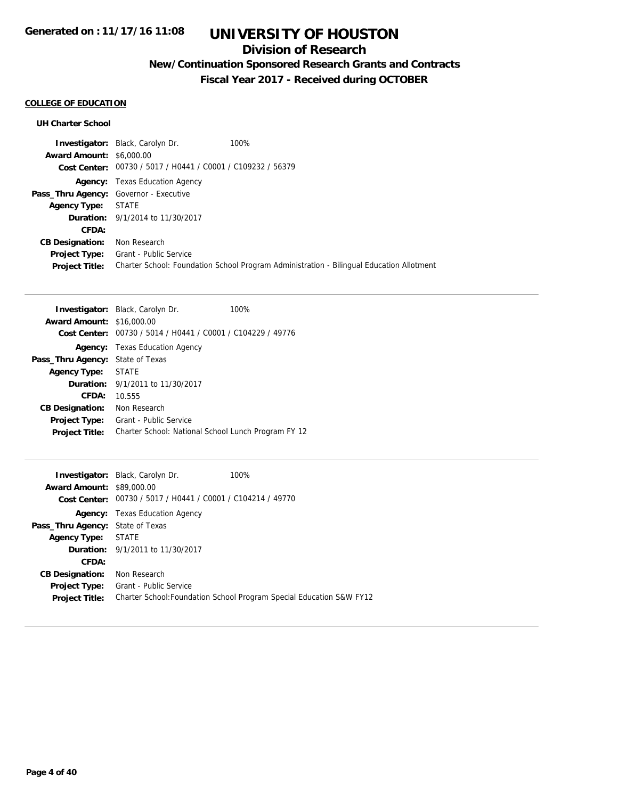### **Division of Research**

## **New/Continuation Sponsored Research Grants and Contracts**

**Fiscal Year 2017 - Received during OCTOBER**

### **COLLEGE OF EDUCATION**

|                                        | <b>Investigator:</b> Black, Carolyn Dr.                     | 100%                                                                                     |  |
|----------------------------------------|-------------------------------------------------------------|------------------------------------------------------------------------------------------|--|
| <b>Award Amount: \$6,000.00</b>        |                                                             |                                                                                          |  |
|                                        | Cost Center: 00730 / 5017 / H0441 / C0001 / C109232 / 56379 |                                                                                          |  |
|                                        | <b>Agency:</b> Texas Education Agency                       |                                                                                          |  |
| Pass_Thru Agency: Governor - Executive |                                                             |                                                                                          |  |
| <b>Agency Type: STATE</b>              |                                                             |                                                                                          |  |
|                                        | <b>Duration:</b> 9/1/2014 to 11/30/2017                     |                                                                                          |  |
| CFDA:                                  |                                                             |                                                                                          |  |
| <b>CB Designation:</b>                 | Non Research                                                |                                                                                          |  |
| Project Type:                          | Grant - Public Service                                      |                                                                                          |  |
| <b>Project Title:</b>                  |                                                             | Charter School: Foundation School Program Administration - Bilingual Education Allotment |  |

|                                  | <b>Investigator:</b> Black, Carolyn Dr.                     | 100% |
|----------------------------------|-------------------------------------------------------------|------|
| <b>Award Amount: \$16,000.00</b> |                                                             |      |
|                                  | Cost Center: 00730 / 5014 / H0441 / C0001 / C104229 / 49776 |      |
|                                  | <b>Agency:</b> Texas Education Agency                       |      |
| Pass_Thru Agency:                | State of Texas                                              |      |
| <b>Agency Type:</b>              | <b>STATE</b>                                                |      |
| Duration:                        | 9/1/2011 to 11/30/2017                                      |      |
| CFDA:                            | 10.555                                                      |      |
| <b>CB Designation:</b>           | Non Research                                                |      |
| <b>Project Type:</b>             | Grant - Public Service                                      |      |
| <b>Project Title:</b>            | Charter School: National School Lunch Program FY 12         |      |

|                                         | <b>Investigator:</b> Black, Carolyn Dr.                     | 100%                                                                 |
|-----------------------------------------|-------------------------------------------------------------|----------------------------------------------------------------------|
| <b>Award Amount: \$89,000.00</b>        |                                                             |                                                                      |
|                                         | Cost Center: 00730 / 5017 / H0441 / C0001 / C104214 / 49770 |                                                                      |
|                                         | <b>Agency:</b> Texas Education Agency                       |                                                                      |
| <b>Pass_Thru Agency: State of Texas</b> |                                                             |                                                                      |
| <b>Agency Type:</b>                     | STATE                                                       |                                                                      |
|                                         | <b>Duration:</b> 9/1/2011 to 11/30/2017                     |                                                                      |
| CFDA:                                   |                                                             |                                                                      |
| <b>CB Designation:</b>                  | Non Research                                                |                                                                      |
| <b>Project Type:</b>                    | <b>Grant - Public Service</b>                               |                                                                      |
| <b>Project Title:</b>                   |                                                             | Charter School: Foundation School Program Special Education S&W FY12 |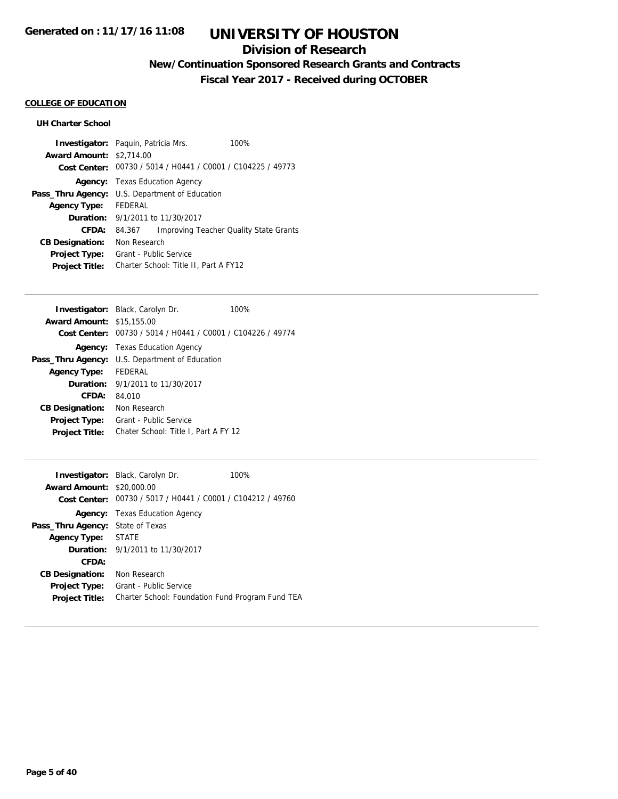### **Division of Research**

**New/Continuation Sponsored Research Grants and Contracts**

**Fiscal Year 2017 - Received during OCTOBER**

### **COLLEGE OF EDUCATION**

|                                 | <b>Investigator:</b> Paguin, Patricia Mrs.                  | 100%                                   |
|---------------------------------|-------------------------------------------------------------|----------------------------------------|
| <b>Award Amount: \$2,714.00</b> |                                                             |                                        |
|                                 | Cost Center: 00730 / 5014 / H0441 / C0001 / C104225 / 49773 |                                        |
|                                 | <b>Agency:</b> Texas Education Agency                       |                                        |
| Pass_Thru Agency:               | U.S. Department of Education                                |                                        |
| <b>Agency Type:</b>             | <b>FEDERAL</b>                                              |                                        |
|                                 | <b>Duration:</b> 9/1/2011 to 11/30/2017                     |                                        |
| CFDA:                           | 84.367                                                      | Improving Teacher Quality State Grants |
| <b>CB Designation:</b>          | Non Research                                                |                                        |
| <b>Project Type:</b>            | Grant - Public Service                                      |                                        |
| <b>Project Title:</b>           | Charter School: Title II, Part A FY12                       |                                        |

|                                  | <b>Investigator:</b> Black, Carolyn Dr.                     | 100% |
|----------------------------------|-------------------------------------------------------------|------|
| <b>Award Amount: \$15,155.00</b> |                                                             |      |
|                                  | Cost Center: 00730 / 5014 / H0441 / C0001 / C104226 / 49774 |      |
|                                  | <b>Agency:</b> Texas Education Agency                       |      |
|                                  | Pass_Thru Agency: U.S. Department of Education              |      |
| <b>Agency Type:</b>              | FEDERAL                                                     |      |
|                                  | <b>Duration:</b> 9/1/2011 to 11/30/2017                     |      |
| CFDA:                            | 84.010                                                      |      |
| <b>CB Designation:</b>           | Non Research                                                |      |
| <b>Project Type:</b>             | Grant - Public Service                                      |      |
| <b>Project Title:</b>            | Chater School: Title I, Part A FY 12                        |      |

|                        | <b>Investigator:</b> Black, Carolyn Dr.                     | 100% |
|------------------------|-------------------------------------------------------------|------|
| <b>Award Amount:</b>   | \$20,000.00                                                 |      |
|                        | Cost Center: 00730 / 5017 / H0441 / C0001 / C104212 / 49760 |      |
|                        | <b>Agency:</b> Texas Education Agency                       |      |
| Pass_Thru Agency:      | State of Texas                                              |      |
| <b>Agency Type:</b>    | <b>STATE</b>                                                |      |
|                        | <b>Duration:</b> 9/1/2011 to 11/30/2017                     |      |
| CFDA:                  |                                                             |      |
| <b>CB Designation:</b> | Non Research                                                |      |
| <b>Project Type:</b>   | Grant - Public Service                                      |      |
| <b>Project Title:</b>  | Charter School: Foundation Fund Program Fund TEA            |      |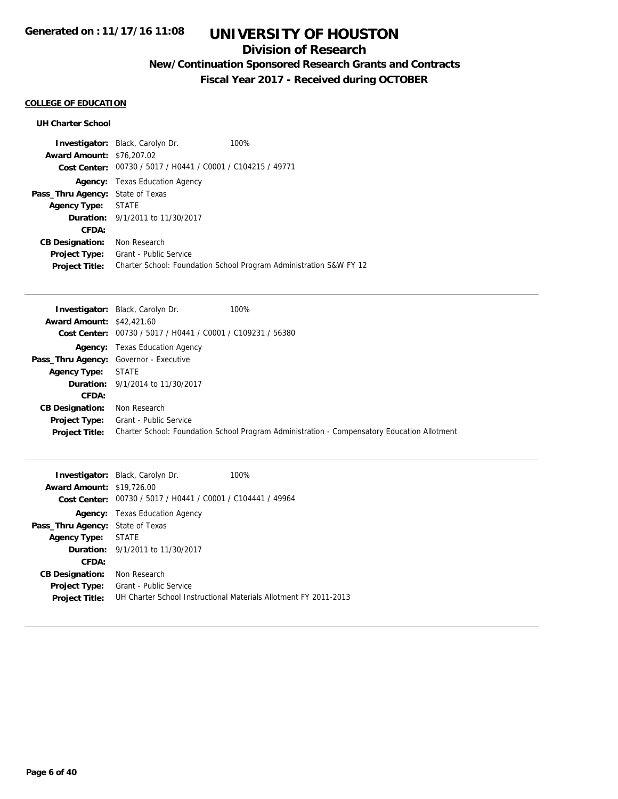## **Division of Research**

## **New/Continuation Sponsored Research Grants and Contracts**

**Fiscal Year 2017 - Received during OCTOBER**

### **COLLEGE OF EDUCATION**

|                                         | <b>Investigator:</b> Black, Carolyn Dr.                     | 100%                                                               |
|-----------------------------------------|-------------------------------------------------------------|--------------------------------------------------------------------|
| <b>Award Amount: \$76,207.02</b>        |                                                             |                                                                    |
|                                         | Cost Center: 00730 / 5017 / H0441 / C0001 / C104215 / 49771 |                                                                    |
|                                         | <b>Agency:</b> Texas Education Agency                       |                                                                    |
| <b>Pass_Thru Agency: State of Texas</b> |                                                             |                                                                    |
| Agency Type: STATE                      |                                                             |                                                                    |
|                                         | <b>Duration:</b> 9/1/2011 to 11/30/2017                     |                                                                    |
| CFDA:                                   |                                                             |                                                                    |
| <b>CB Designation:</b>                  | Non Research                                                |                                                                    |
| <b>Project Type:</b>                    | Grant - Public Service                                      |                                                                    |
| <b>Project Title:</b>                   |                                                             | Charter School: Foundation School Program Administration S&W FY 12 |

|                                        | <b>Investigator:</b> Black, Carolyn Dr.                     | 100%                                                                                        |
|----------------------------------------|-------------------------------------------------------------|---------------------------------------------------------------------------------------------|
| <b>Award Amount: \$42,421.60</b>       |                                                             |                                                                                             |
|                                        | Cost Center: 00730 / 5017 / H0441 / C0001 / C109231 / 56380 |                                                                                             |
|                                        | <b>Agency:</b> Texas Education Agency                       |                                                                                             |
| Pass_Thru Agency: Governor - Executive |                                                             |                                                                                             |
| <b>Agency Type:</b>                    | STATE                                                       |                                                                                             |
|                                        | <b>Duration:</b> 9/1/2014 to 11/30/2017                     |                                                                                             |
| CFDA:                                  |                                                             |                                                                                             |
| <b>CB Designation:</b>                 | Non Research                                                |                                                                                             |
| Project Type:                          | Grant - Public Service                                      |                                                                                             |
| <b>Project Title:</b>                  |                                                             | Charter School: Foundation School Program Administration - Compensatory Education Allotment |

| <b>Award Amount: \$19,726.00</b><br>Cost Center: | <b>Investigator:</b> Black, Carolyn Dr.<br>00730 / 5017 / H0441 / C0001 / C104441 / 49964 | 100%                                                             |
|--------------------------------------------------|-------------------------------------------------------------------------------------------|------------------------------------------------------------------|
|                                                  | <b>Agency:</b> Texas Education Agency                                                     |                                                                  |
| <b>Pass_Thru Agency: State of Texas</b>          |                                                                                           |                                                                  |
| Agency Type:                                     | <b>STATE</b>                                                                              |                                                                  |
|                                                  | <b>Duration:</b> 9/1/2011 to 11/30/2017                                                   |                                                                  |
| CFDA:                                            |                                                                                           |                                                                  |
| <b>CB Designation:</b>                           | Non Research                                                                              |                                                                  |
| <b>Project Type:</b>                             | Grant - Public Service                                                                    |                                                                  |
| <b>Project Title:</b>                            |                                                                                           | UH Charter School Instructional Materials Allotment FY 2011-2013 |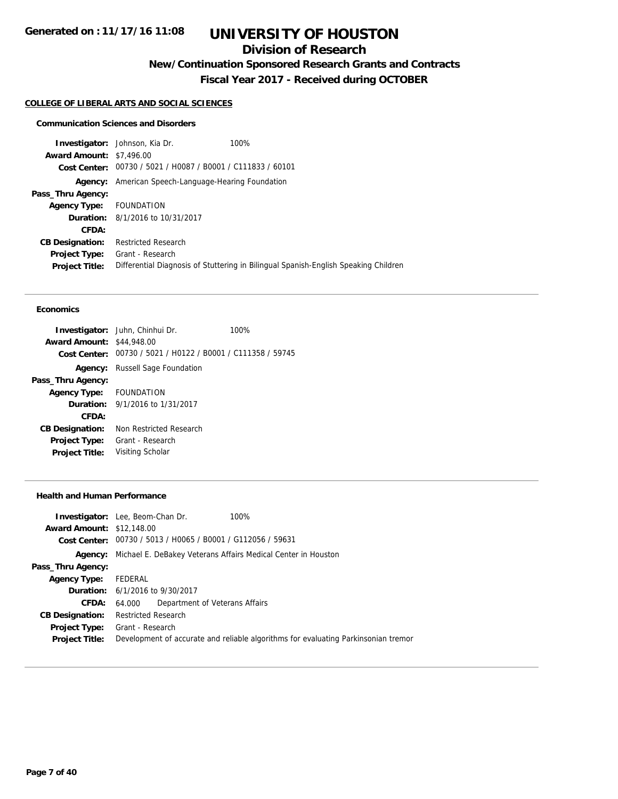## **Division of Research**

**New/Continuation Sponsored Research Grants and Contracts**

**Fiscal Year 2017 - Received during OCTOBER**

#### **COLLEGE OF LIBERAL ARTS AND SOCIAL SCIENCES**

#### **Communication Sciences and Disorders**

|                                 | 100%<br><b>Investigator:</b> Johnson, Kia Dr.               |                                                                                     |
|---------------------------------|-------------------------------------------------------------|-------------------------------------------------------------------------------------|
| <b>Award Amount: \$7,496.00</b> |                                                             |                                                                                     |
|                                 | Cost Center: 00730 / 5021 / H0087 / B0001 / C111833 / 60101 |                                                                                     |
| Agency:                         | American Speech-Language-Hearing Foundation                 |                                                                                     |
| Pass_Thru Agency:               |                                                             |                                                                                     |
| <b>Agency Type:</b>             | FOUNDATION                                                  |                                                                                     |
|                                 | <b>Duration:</b> 8/1/2016 to 10/31/2017                     |                                                                                     |
| CFDA:                           |                                                             |                                                                                     |
| <b>CB Designation:</b>          | <b>Restricted Research</b>                                  |                                                                                     |
| <b>Project Type:</b>            | Grant - Research                                            |                                                                                     |
| <b>Project Title:</b>           |                                                             | Differential Diagnosis of Stuttering in Bilingual Spanish-English Speaking Children |
|                                 |                                                             |                                                                                     |

#### **Economics**

| <b>Investigator:</b> Juhn, Chinhui Dr.                      | 100% |
|-------------------------------------------------------------|------|
| <b>Award Amount: \$44,948.00</b>                            |      |
| Cost Center: 00730 / 5021 / H0122 / B0001 / C111358 / 59745 |      |
| <b>Russell Sage Foundation</b>                              |      |
|                                                             |      |
| Agency Type: FOUNDATION                                     |      |
| <b>Duration:</b> 9/1/2016 to 1/31/2017                      |      |
|                                                             |      |
| Non Restricted Research                                     |      |
| Grant - Research                                            |      |
| Visiting Scholar                                            |      |
|                                                             |      |

#### **Health and Human Performance**

| <b>Investigator:</b> Lee, Beom-Chan Dr.                     | 100%                                                                                            |
|-------------------------------------------------------------|-------------------------------------------------------------------------------------------------|
| <b>Award Amount: \$12,148.00</b>                            |                                                                                                 |
| Cost Center: 00730 / 5013 / H0065 / B0001 / G112056 / 59631 |                                                                                                 |
| Agency:                                                     |                                                                                                 |
|                                                             |                                                                                                 |
| FEDERAL                                                     |                                                                                                 |
| <b>Duration:</b> 6/1/2016 to 9/30/2017                      |                                                                                                 |
| 64.000                                                      |                                                                                                 |
| <b>Restricted Research</b>                                  |                                                                                                 |
| Grant - Research                                            |                                                                                                 |
|                                                             | Development of accurate and reliable algorithms for evaluating Parkinsonian tremor              |
|                                                             | Michael E. DeBakey Veterans Affairs Medical Center in Houston<br>Department of Veterans Affairs |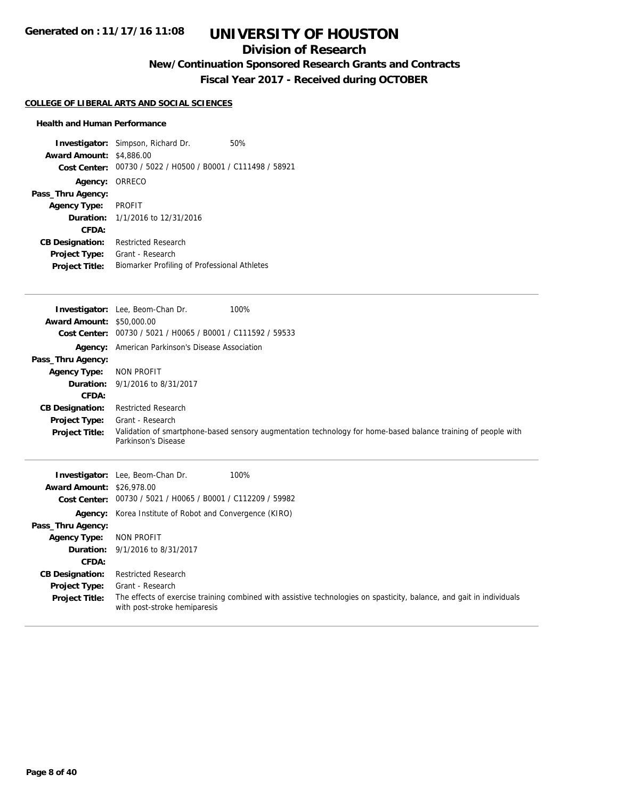## **Division of Research**

**New/Continuation Sponsored Research Grants and Contracts**

**Fiscal Year 2017 - Received during OCTOBER**

#### **COLLEGE OF LIBERAL ARTS AND SOCIAL SCIENCES**

#### **Health and Human Performance**

| <b>Investigator:</b> Simpson, Richard Dr.                   | 50%                                          |
|-------------------------------------------------------------|----------------------------------------------|
| <b>Award Amount: \$4,886.00</b>                             |                                              |
| Cost Center: 00730 / 5022 / H0500 / B0001 / C111498 / 58921 |                                              |
| Agency: ORRECO                                              |                                              |
|                                                             |                                              |
| <b>PROFIT</b>                                               |                                              |
| <b>Duration:</b> 1/1/2016 to 12/31/2016                     |                                              |
|                                                             |                                              |
| <b>Restricted Research</b>                                  |                                              |
| Grant - Research                                            |                                              |
|                                                             |                                              |
|                                                             | Biomarker Profiling of Professional Athletes |

|                                  | <b>Investigator:</b> Lee, Beom-Chan Dr.                     | 100%                                                                                                          |
|----------------------------------|-------------------------------------------------------------|---------------------------------------------------------------------------------------------------------------|
| <b>Award Amount: \$50,000.00</b> |                                                             |                                                                                                               |
| <b>Cost Center:</b>              | 00730 / 5021 / H0065 / B0001 / C111592 / 59533              |                                                                                                               |
| Agency:                          | American Parkinson's Disease Association                    |                                                                                                               |
| Pass_Thru Agency:                |                                                             |                                                                                                               |
| <b>Agency Type:</b>              | NON PROFIT                                                  |                                                                                                               |
| Duration:                        | 9/1/2016 to 8/31/2017                                       |                                                                                                               |
| CFDA:                            |                                                             |                                                                                                               |
| <b>CB Designation:</b>           | <b>Restricted Research</b>                                  |                                                                                                               |
| <b>Project Type:</b>             | Grant - Research                                            |                                                                                                               |
| <b>Project Title:</b>            | Parkinson's Disease                                         | Validation of smartphone-based sensory augmentation technology for home-based balance training of people with |
|                                  |                                                             |                                                                                                               |
|                                  | <b>Investigator:</b> Lee, Beom-Chan Dr.                     | 100%                                                                                                          |
| <b>Award Amount: \$26,978.00</b> |                                                             |                                                                                                               |
|                                  | Cost Center: 00730 / 5021 / H0065 / B0001 / C112209 / 59982 |                                                                                                               |
| Agency:                          | Korea Institute of Robot and Convergence (KIRO)             |                                                                                                               |
| Pass_Thru Agency:                |                                                             |                                                                                                               |
| <b>Agency Type:</b>              | <b>NON PROFIT</b>                                           |                                                                                                               |
| Duration:                        | 9/1/2016 to 8/31/2017                                       |                                                                                                               |
| CFDA:                            |                                                             |                                                                                                               |
| <b>CB Designation:</b>           | <b>Restricted Research</b>                                  |                                                                                                               |

Project Title: The effects of exercise training combined with assistive technologies on spasticity, balance, and gait in individuals with post-stroke hemiparesis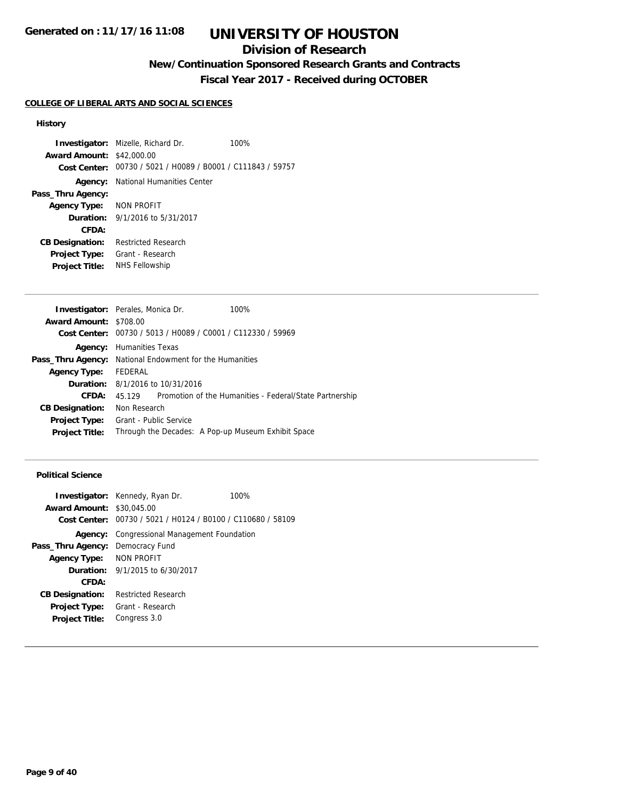## **Division of Research**

## **New/Continuation Sponsored Research Grants and Contracts**

**Fiscal Year 2017 - Received during OCTOBER**

#### **COLLEGE OF LIBERAL ARTS AND SOCIAL SCIENCES**

#### **History**

**Investigator:** Mizelle, Richard Dr. 100% **Award Amount:** \$42,000.00 **Cost Center:** 00730 / 5021 / H0089 / B0001 / C111843 / 59757 **Agency:** National Humanities Center **Pass\_Thru Agency: Agency Type:** NON PROFIT **Duration:** 9/1/2016 to 5/31/2017 **CFDA: CB Designation:** Restricted Research **Project Type:** Grant - Research **Project Title:** NHS Fellowship

|                                                                | <b>Investigator:</b> Perales, Monica Dr.    | 100%                                                        |
|----------------------------------------------------------------|---------------------------------------------|-------------------------------------------------------------|
| <b>Award Amount: \$708.00</b>                                  |                                             |                                                             |
|                                                                |                                             | Cost Center: 00730 / 5013 / H0089 / C0001 / C112330 / 59969 |
| Agency:                                                        | Humanities Texas                            |                                                             |
| <b>Pass_Thru Agency:</b> National Endowment for the Humanities |                                             |                                                             |
| <b>Agency Type:</b>                                            | FEDERAL                                     |                                                             |
|                                                                | <b>Duration:</b> $8/1/2016$ to $10/31/2016$ |                                                             |
| CFDA:                                                          | 45.129                                      | Promotion of the Humanities - Federal/State Partnership     |
| <b>CB Designation:</b>                                         | Non Research                                |                                                             |
| <b>Project Type:</b>                                           | Grant - Public Service                      |                                                             |
| <b>Project Title:</b>                                          |                                             | Through the Decades: A Pop-up Museum Exhibit Space          |

### **Political Science**

| <b>Award Amount: \$30,045,00</b>        | <b>Investigator:</b> Kennedy, Ryan Dr.<br>Cost Center: 00730 / 5021 / H0124 / B0100 / C110680 / 58109 | 100% |
|-----------------------------------------|-------------------------------------------------------------------------------------------------------|------|
| Agency:                                 | Congressional Management Foundation                                                                   |      |
| <b>Pass_Thru Agency: Democracy Fund</b> |                                                                                                       |      |
| Agency Type: NON PROFIT                 |                                                                                                       |      |
|                                         | <b>Duration:</b> 9/1/2015 to 6/30/2017                                                                |      |
| CFDA:                                   |                                                                                                       |      |
| <b>CB Designation:</b>                  | <b>Restricted Research</b>                                                                            |      |
| <b>Project Type:</b>                    | Grant - Research                                                                                      |      |
| <b>Project Title:</b>                   | Congress 3.0                                                                                          |      |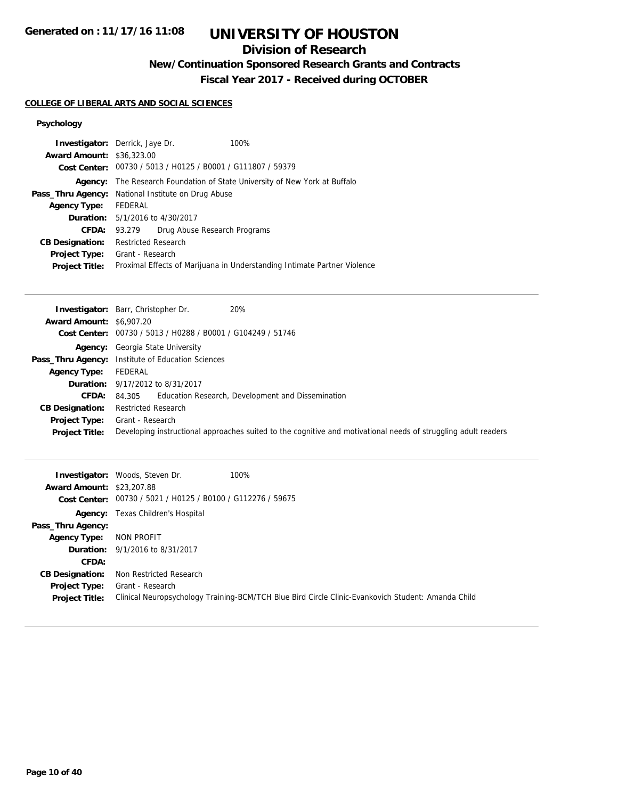## **Division of Research**

## **New/Continuation Sponsored Research Grants and Contracts**

**Fiscal Year 2017 - Received during OCTOBER**

#### **COLLEGE OF LIBERAL ARTS AND SOCIAL SCIENCES**

### **Psychology**

|                                  | <b>Investigator:</b> Derrick, Jaye Dr.                      | 100%                                                                     |
|----------------------------------|-------------------------------------------------------------|--------------------------------------------------------------------------|
| <b>Award Amount: \$36,323.00</b> |                                                             |                                                                          |
|                                  | Cost Center: 00730 / 5013 / H0125 / B0001 / G111807 / 59379 |                                                                          |
| Agency:                          |                                                             | The Research Foundation of State University of New York at Buffalo       |
| Pass_Thru Agency:                | National Institute on Drug Abuse                            |                                                                          |
| <b>Agency Type:</b>              | FEDERAL                                                     |                                                                          |
|                                  | <b>Duration:</b> 5/1/2016 to 4/30/2017                      |                                                                          |
| CFDA:                            | 93.279                                                      | Drug Abuse Research Programs                                             |
| <b>CB Designation:</b>           | <b>Restricted Research</b>                                  |                                                                          |
| Project Type:                    | Grant - Research                                            |                                                                          |
| <b>Project Title:</b>            |                                                             | Proximal Effects of Marijuana in Understanding Intimate Partner Violence |
|                                  |                                                             |                                                                          |

|                                 | 20%<br><b>Investigator:</b> Barr, Christopher Dr.                                                              |
|---------------------------------|----------------------------------------------------------------------------------------------------------------|
| <b>Award Amount: \$6,907.20</b> |                                                                                                                |
|                                 | Cost Center: 00730 / 5013 / H0288 / B0001 / G104249 / 51746                                                    |
|                                 | <b>Agency:</b> Georgia State University                                                                        |
|                                 | Pass_Thru Agency: Institute of Education Sciences                                                              |
| Agency Type:                    | FEDERAL                                                                                                        |
|                                 | <b>Duration:</b> 9/17/2012 to 8/31/2017                                                                        |
| CFDA:                           | Education Research, Development and Dissemination<br>84.305                                                    |
| <b>CB Designation:</b>          | <b>Restricted Research</b>                                                                                     |
| <b>Project Type:</b>            | Grant - Research                                                                                               |
| <b>Project Title:</b>           | Developing instructional approaches suited to the cognitive and motivational needs of struggling adult readers |

| <b>Award Amount: \$23,207.88</b>              | 100%<br><b>Investigator:</b> Woods, Steven Dr.<br>Cost Center: 00730 / 5021 / H0125 / B0100 / G112276 / 59675          |
|-----------------------------------------------|------------------------------------------------------------------------------------------------------------------------|
| Pass_Thru Agency:                             | <b>Agency:</b> Texas Children's Hospital                                                                               |
| <b>Agency Type:</b>                           | NON PROFIT                                                                                                             |
| CFDA:                                         | <b>Duration:</b> 9/1/2016 to 8/31/2017                                                                                 |
| <b>CB Designation:</b>                        | Non Restricted Research                                                                                                |
| <b>Project Type:</b><br><b>Project Title:</b> | Grant - Research<br>Clinical Neuropsychology Training-BCM/TCH Blue Bird Circle Clinic-Evankovich Student: Amanda Child |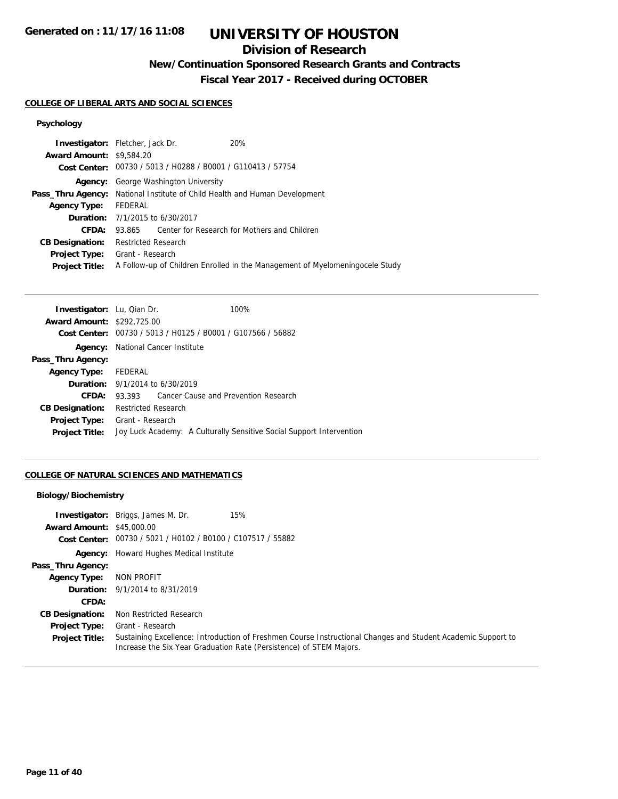## **Division of Research**

**New/Continuation Sponsored Research Grants and Contracts**

**Fiscal Year 2017 - Received during OCTOBER**

#### **COLLEGE OF LIBERAL ARTS AND SOCIAL SCIENCES**

## **Psychology**

| <b>Investigator:</b> Fletcher, Jack Dr. |                            |                                                             | 20%                                                                               |
|-----------------------------------------|----------------------------|-------------------------------------------------------------|-----------------------------------------------------------------------------------|
| <b>Award Amount: \$9,584.20</b>         |                            |                                                             |                                                                                   |
|                                         |                            | Cost Center: 00730 / 5013 / H0288 / B0001 / G110413 / 57754 |                                                                                   |
| Agency:                                 |                            | George Washington University                                |                                                                                   |
|                                         |                            |                                                             | <b>Pass_Thru Agency:</b> National Institute of Child Health and Human Development |
| <b>Agency Type:</b>                     | FEDERAL                    |                                                             |                                                                                   |
|                                         |                            | <b>Duration:</b> 7/1/2015 to 6/30/2017                      |                                                                                   |
| CFDA:                                   |                            |                                                             | 93.865 Center for Research for Mothers and Children                               |
| <b>CB Designation:</b>                  | <b>Restricted Research</b> |                                                             |                                                                                   |
| <b>Project Type:</b> Grant - Research   |                            |                                                             |                                                                                   |
| <b>Project Title:</b>                   |                            |                                                             | A Follow-up of Children Enrolled in the Management of Myelomeningocele Study      |
|                                         |                            |                                                             |                                                                                   |

| <b>Investigator:</b> Lu, Qian Dr. |                                                             | 100%                                                                 |
|-----------------------------------|-------------------------------------------------------------|----------------------------------------------------------------------|
| <b>Award Amount: \$292,725.00</b> |                                                             |                                                                      |
|                                   | Cost Center: 00730 / 5013 / H0125 / B0001 / G107566 / 56882 |                                                                      |
|                                   | <b>Agency:</b> National Cancer Institute                    |                                                                      |
| Pass_Thru Agency:                 |                                                             |                                                                      |
| Agency Type: FEDERAL              |                                                             |                                                                      |
|                                   | <b>Duration:</b> 9/1/2014 to 6/30/2019                      |                                                                      |
| CFDA:                             | 93.393 Cancer Cause and Prevention Research                 |                                                                      |
| <b>CB Designation:</b>            | Restricted Research                                         |                                                                      |
| Project Type:                     | Grant - Research                                            |                                                                      |
| <b>Project Title:</b>             |                                                             | Joy Luck Academy: A Culturally Sensitive Social Support Intervention |
|                                   |                                                             |                                                                      |

#### **COLLEGE OF NATURAL SCIENCES AND MATHEMATICS**

#### **Biology/Biochemistry**

| <b>Award Amount: \$45,000.00</b> | <b>Investigator:</b> Briggs, James M. Dr.<br>15%                                                                                                                                    |
|----------------------------------|-------------------------------------------------------------------------------------------------------------------------------------------------------------------------------------|
|                                  | Cost Center: 00730 / 5021 / H0102 / B0100 / C107517 / 55882                                                                                                                         |
|                                  | <b>Agency:</b> Howard Hughes Medical Institute                                                                                                                                      |
| Pass_Thru Agency:                |                                                                                                                                                                                     |
| <b>Agency Type:</b>              | NON PROFIT                                                                                                                                                                          |
|                                  | <b>Duration:</b> 9/1/2014 to 8/31/2019                                                                                                                                              |
| CFDA:                            |                                                                                                                                                                                     |
| <b>CB Designation:</b>           | Non Restricted Research                                                                                                                                                             |
| <b>Project Type:</b>             | Grant - Research                                                                                                                                                                    |
| <b>Project Title:</b>            | Sustaining Excellence: Introduction of Freshmen Course Instructional Changes and Student Academic Support to<br>Increase the Six Year Graduation Rate (Persistence) of STEM Majors. |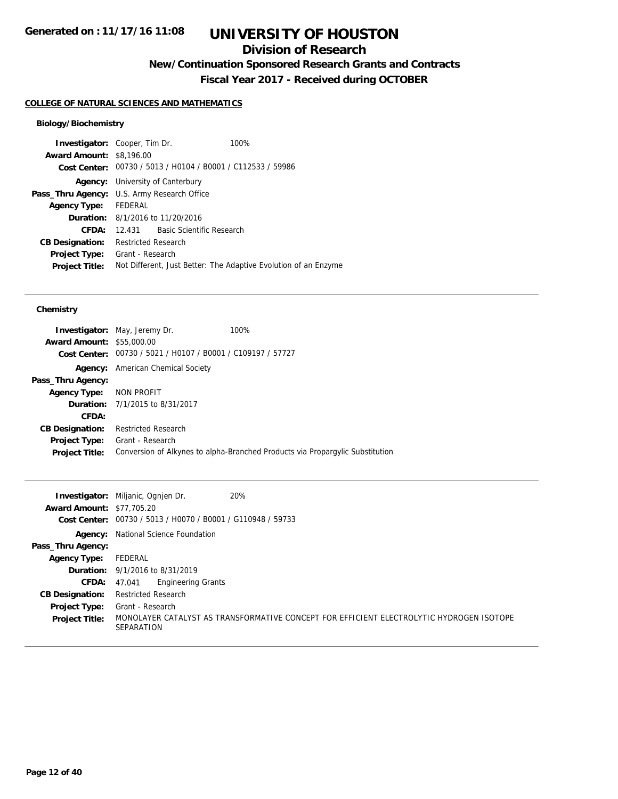## **Division of Research**

**New/Continuation Sponsored Research Grants and Contracts**

**Fiscal Year 2017 - Received during OCTOBER**

### **COLLEGE OF NATURAL SCIENCES AND MATHEMATICS**

#### **Biology/Biochemistry**

| <b>Investigator:</b> Cooper, Tim Dr.               |                            |                                         | 100%                                                            |  |
|----------------------------------------------------|----------------------------|-----------------------------------------|-----------------------------------------------------------------|--|
| <b>Award Amount: \$8,196.00</b>                    |                            |                                         |                                                                 |  |
|                                                    |                            |                                         | Cost Center: 00730 / 5013 / H0104 / B0001 / C112533 / 59986     |  |
|                                                    |                            | <b>Agency:</b> University of Canterbury |                                                                 |  |
| <b>Pass_Thru Agency:</b> U.S. Army Research Office |                            |                                         |                                                                 |  |
| Agency Type:                                       | FEDERAL                    |                                         |                                                                 |  |
|                                                    |                            | <b>Duration:</b> 8/1/2016 to 11/20/2016 |                                                                 |  |
| CFDA:                                              |                            | 12.431 Basic Scientific Research        |                                                                 |  |
| <b>CB Designation:</b>                             | <b>Restricted Research</b> |                                         |                                                                 |  |
| <b>Project Type:</b>                               | Grant - Research           |                                         |                                                                 |  |
| <b>Project Title:</b>                              |                            |                                         | Not Different, Just Better: The Adaptive Evolution of an Enzyme |  |

#### **Chemistry**

|                                  | <b>Investigator:</b> May, Jeremy Dr.                        | 100%                                                                          |
|----------------------------------|-------------------------------------------------------------|-------------------------------------------------------------------------------|
| <b>Award Amount: \$55,000.00</b> |                                                             |                                                                               |
|                                  | Cost Center: 00730 / 5021 / H0107 / B0001 / C109197 / 57727 |                                                                               |
| Agency:                          | American Chemical Society                                   |                                                                               |
| Pass_Thru Agency:                |                                                             |                                                                               |
| Agency Type: NON PROFIT          |                                                             |                                                                               |
|                                  | <b>Duration:</b> 7/1/2015 to 8/31/2017                      |                                                                               |
| CFDA:                            |                                                             |                                                                               |
| <b>CB Designation:</b>           | <b>Restricted Research</b>                                  |                                                                               |
|                                  | <b>Project Type:</b> Grant - Research                       |                                                                               |
| <b>Project Title:</b>            |                                                             | Conversion of Alkynes to alpha-Branched Products via Propargylic Substitution |
|                                  |                                                             |                                                                               |

|                                  | 20%<br><b>Investigator:</b> Miljanic, Ognien Dr.                                                       |
|----------------------------------|--------------------------------------------------------------------------------------------------------|
| <b>Award Amount: \$77,705.20</b> |                                                                                                        |
| Cost Center:                     | 00730 / 5013 / H0070 / B0001 / G110948 / 59733                                                         |
| Agency:                          | National Science Foundation                                                                            |
| Pass_Thru Agency:                |                                                                                                        |
| <b>Agency Type:</b>              | FEDERAL                                                                                                |
|                                  | <b>Duration:</b> 9/1/2016 to 8/31/2019                                                                 |
| <b>CFDA:</b> $47.041$            | <b>Engineering Grants</b>                                                                              |
| <b>CB Designation:</b>           | <b>Restricted Research</b>                                                                             |
| <b>Project Type:</b>             | Grant - Research                                                                                       |
| <b>Project Title:</b>            | MONOLAYER CATALYST AS TRANSFORMATIVE CONCEPT FOR EFFICIENT ELECTROLYTIC HYDROGEN ISOTOPE<br>SEPARATION |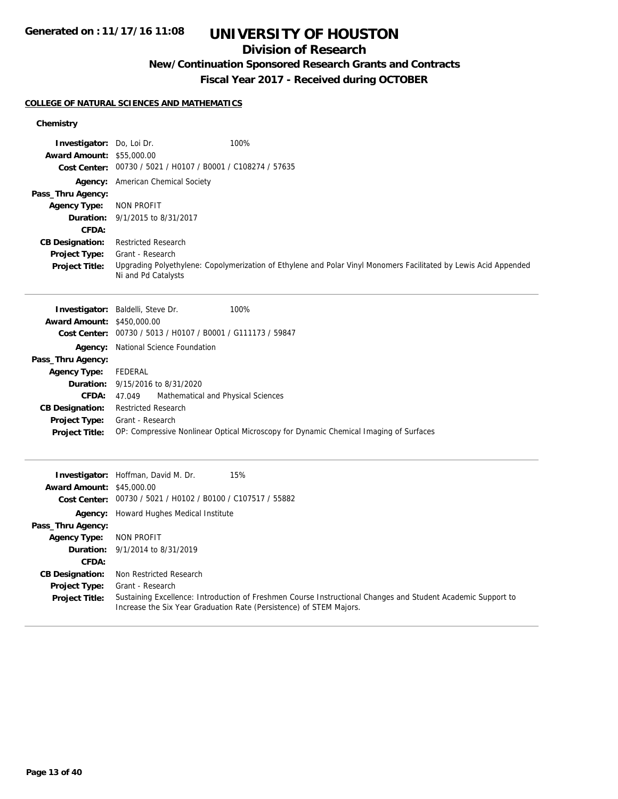## **Division of Research**

## **New/Continuation Sponsored Research Grants and Contracts**

**Fiscal Year 2017 - Received during OCTOBER**

#### **COLLEGE OF NATURAL SCIENCES AND MATHEMATICS**

#### **Chemistry**

| Investigator: Do, Loi Dr.               |                                                             | 100%                                                                                                                                                                                |
|-----------------------------------------|-------------------------------------------------------------|-------------------------------------------------------------------------------------------------------------------------------------------------------------------------------------|
| <b>Award Amount: \$55,000.00</b>        |                                                             |                                                                                                                                                                                     |
|                                         | Cost Center: 00730 / 5021 / H0107 / B0001 / C108274 / 57635 |                                                                                                                                                                                     |
|                                         | Agency: American Chemical Society                           |                                                                                                                                                                                     |
| Pass_Thru Agency:                       |                                                             |                                                                                                                                                                                     |
| <b>Agency Type:</b>                     | <b>NON PROFIT</b>                                           |                                                                                                                                                                                     |
| Duration:                               | 9/1/2015 to 8/31/2017                                       |                                                                                                                                                                                     |
| <b>CFDA:</b>                            |                                                             |                                                                                                                                                                                     |
| <b>CB Designation:</b><br>Project Type: | <b>Restricted Research</b><br>Grant - Research              |                                                                                                                                                                                     |
| <b>Project Title:</b>                   |                                                             | Upgrading Polyethylene: Copolymerization of Ethylene and Polar Vinyl Monomers Facilitated by Lewis Acid Appended                                                                    |
|                                         | Ni and Pd Catalysts                                         |                                                                                                                                                                                     |
|                                         |                                                             |                                                                                                                                                                                     |
|                                         | <b>Investigator:</b> Baldelli, Steve Dr.                    | 100%                                                                                                                                                                                |
| <b>Award Amount: \$450,000.00</b>       |                                                             |                                                                                                                                                                                     |
| <b>Cost Center:</b>                     | 00730 / 5013 / H0107 / B0001 / G111173 / 59847              |                                                                                                                                                                                     |
| Agency:                                 | National Science Foundation                                 |                                                                                                                                                                                     |
| Pass_Thru Agency:                       |                                                             |                                                                                                                                                                                     |
| <b>Agency Type:</b>                     | <b>FEDERAL</b>                                              |                                                                                                                                                                                     |
| Duration:                               | 9/15/2016 to 8/31/2020                                      |                                                                                                                                                                                     |
| <b>CFDA:</b>                            | Mathematical and Physical Sciences<br>47.049                |                                                                                                                                                                                     |
| <b>CB Designation:</b>                  | <b>Restricted Research</b>                                  |                                                                                                                                                                                     |
| <b>Project Type:</b>                    | Grant - Research                                            |                                                                                                                                                                                     |
| <b>Project Title:</b>                   |                                                             | OP: Compressive Nonlinear Optical Microscopy for Dynamic Chemical Imaging of Surfaces                                                                                               |
|                                         |                                                             |                                                                                                                                                                                     |
|                                         | Investigator: Hoffman, David M. Dr.                         | 15%                                                                                                                                                                                 |
| <b>Award Amount: \$45,000.00</b>        |                                                             |                                                                                                                                                                                     |
|                                         | Cost Center: 00730 / 5021 / H0102 / B0100 / C107517 / 55882 |                                                                                                                                                                                     |
|                                         | <b>Agency:</b> Howard Hughes Medical Institute              |                                                                                                                                                                                     |
| Pass_Thru Agency:                       |                                                             |                                                                                                                                                                                     |
| <b>Agency Type:</b>                     | <b>NON PROFIT</b>                                           |                                                                                                                                                                                     |
| Duration:                               | 9/1/2014 to 8/31/2019                                       |                                                                                                                                                                                     |
| CFDA:                                   |                                                             |                                                                                                                                                                                     |
| <b>CB Designation:</b>                  | Non Restricted Research                                     |                                                                                                                                                                                     |
| <b>Project Type:</b>                    | Grant - Research                                            |                                                                                                                                                                                     |
| <b>Project Title:</b>                   |                                                             | Sustaining Excellence: Introduction of Freshmen Course Instructional Changes and Student Academic Support to<br>Increase the Six Year Graduation Rate (Persistence) of STEM Majors. |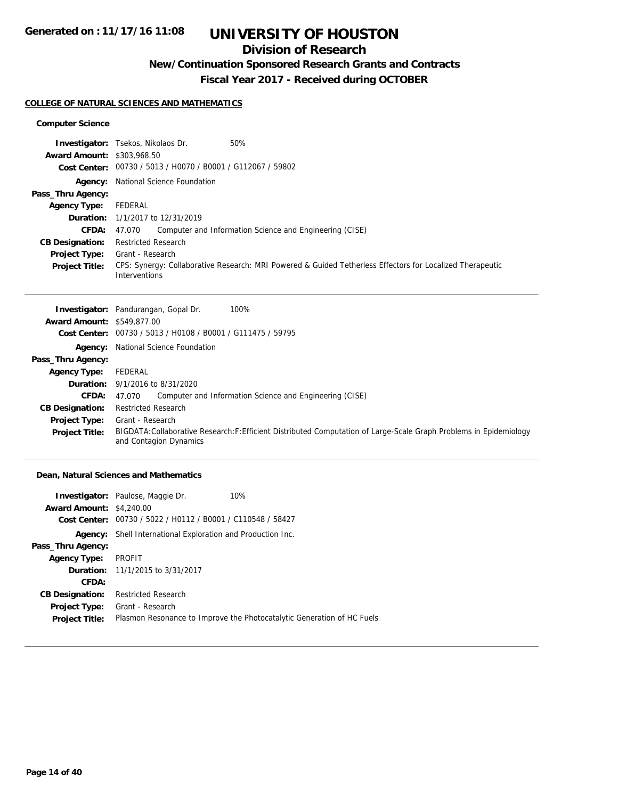## **Division of Research**

## **New/Continuation Sponsored Research Grants and Contracts**

**Fiscal Year 2017 - Received during OCTOBER**

#### **COLLEGE OF NATURAL SCIENCES AND MATHEMATICS**

#### **Computer Science**

|                                   | 50%<br><b>Investigator:</b> Tsekos, Nikolaos Dr.                                                                           |
|-----------------------------------|----------------------------------------------------------------------------------------------------------------------------|
| <b>Award Amount: \$303,968.50</b> |                                                                                                                            |
|                                   | Cost Center: 00730 / 5013 / H0070 / B0001 / G112067 / 59802                                                                |
|                                   | <b>Agency:</b> National Science Foundation                                                                                 |
| Pass_Thru Agency:                 |                                                                                                                            |
| <b>Agency Type:</b>               | FEDERAL                                                                                                                    |
|                                   | <b>Duration:</b> 1/1/2017 to 12/31/2019                                                                                    |
| <b>CFDA:</b>                      | Computer and Information Science and Engineering (CISE)<br>47.070                                                          |
| <b>CB Designation:</b>            | <b>Restricted Research</b>                                                                                                 |
| <b>Project Type:</b>              | Grant - Research                                                                                                           |
| <b>Project Title:</b>             | CPS: Synergy: Collaborative Research: MRI Powered & Guided Tetherless Effectors for Localized Therapeutic<br>Interventions |

|                                   | <b>Investigator:</b> Pandurangan, Gopal Dr.<br>100%                                                                                           |
|-----------------------------------|-----------------------------------------------------------------------------------------------------------------------------------------------|
| <b>Award Amount: \$549,877.00</b> |                                                                                                                                               |
|                                   | Cost Center: 00730 / 5013 / H0108 / B0001 / G111475 / 59795                                                                                   |
|                                   | <b>Agency:</b> National Science Foundation                                                                                                    |
| Pass_Thru Agency:                 |                                                                                                                                               |
| <b>Agency Type:</b>               | FEDERAL                                                                                                                                       |
|                                   | <b>Duration:</b> 9/1/2016 to 8/31/2020                                                                                                        |
| <b>CFDA:</b>                      | Computer and Information Science and Engineering (CISE)<br>47.070                                                                             |
| <b>CB Designation:</b>            | <b>Restricted Research</b>                                                                                                                    |
| <b>Project Type:</b>              | Grant - Research                                                                                                                              |
| <b>Project Title:</b>             | BIGDATA: Collaborative Research: F: Efficient Distributed Computation of Large-Scale Graph Problems in Epidemiology<br>and Contagion Dynamics |

#### **Dean, Natural Sciences and Mathematics**

|                                 | 10%<br><b>Investigator:</b> Paulose, Maggie Dr.                        |
|---------------------------------|------------------------------------------------------------------------|
| <b>Award Amount: \$4,240.00</b> |                                                                        |
|                                 | Cost Center: 00730 / 5022 / H0112 / B0001 / C110548 / 58427            |
| Agency:                         | Shell International Exploration and Production Inc.                    |
| Pass_Thru Agency:               |                                                                        |
| <b>Agency Type:</b>             | PROFIT                                                                 |
|                                 | <b>Duration:</b> 11/1/2015 to 3/31/2017                                |
| CFDA:                           |                                                                        |
| <b>CB Designation:</b>          | <b>Restricted Research</b>                                             |
| <b>Project Type:</b>            | Grant - Research                                                       |
| <b>Project Title:</b>           | Plasmon Resonance to Improve the Photocatalytic Generation of HC Fuels |
|                                 |                                                                        |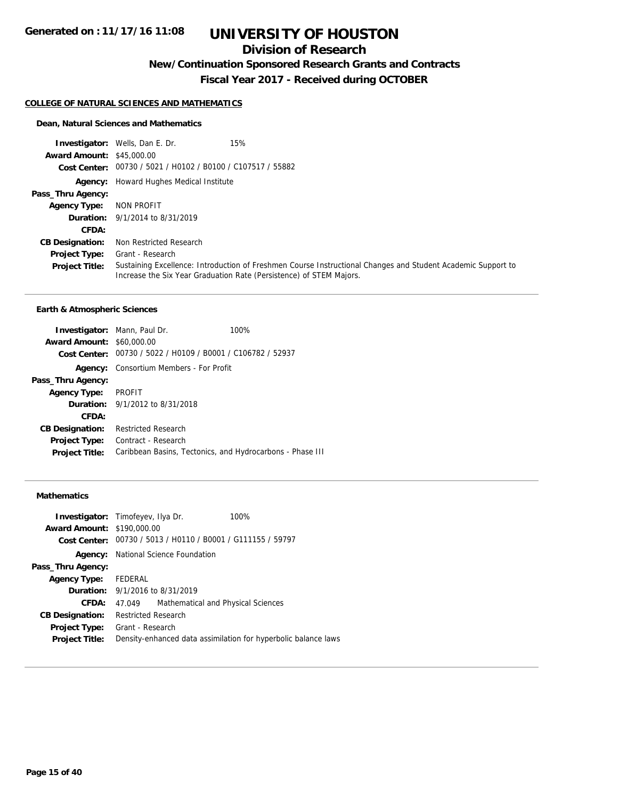## **Division of Research**

**New/Continuation Sponsored Research Grants and Contracts**

**Fiscal Year 2017 - Received during OCTOBER**

#### **COLLEGE OF NATURAL SCIENCES AND MATHEMATICS**

#### **Dean, Natural Sciences and Mathematics**

**Investigator:** Wells, Dan E. Dr. 15% **Award Amount:** \$45,000.00 **Cost Center:** 00730 / 5021 / H0102 / B0100 / C107517 / 55882 **Agency:** Howard Hughes Medical Institute **Pass\_Thru Agency: Agency Type:** NON PROFIT **Duration:** 9/1/2014 to 8/31/2019 **CFDA: CB Designation:** Non Restricted Research **Project Type: Project Title:** Sustaining Excellence: Introduction of Freshmen Course Instructional Changes and Student Academic Support to Increase the Six Year Graduation Rate (Persistence) of STEM Majors. Grant - Research

#### **Earth & Atmospheric Sciences**

|                                                             | 100%                                                                                                                                                      |
|-------------------------------------------------------------|-----------------------------------------------------------------------------------------------------------------------------------------------------------|
|                                                             |                                                                                                                                                           |
| Cost Center: 00730 / 5022 / H0109 / B0001 / C106782 / 52937 |                                                                                                                                                           |
| Consortium Members - For Profit                             |                                                                                                                                                           |
|                                                             |                                                                                                                                                           |
|                                                             |                                                                                                                                                           |
|                                                             |                                                                                                                                                           |
|                                                             |                                                                                                                                                           |
|                                                             |                                                                                                                                                           |
| Contract - Research                                         |                                                                                                                                                           |
| Caribbean Basins, Tectonics, and Hydrocarbons - Phase III   |                                                                                                                                                           |
|                                                             | <b>Investigator:</b> Mann, Paul Dr.<br><b>Award Amount: \$60,000.00</b><br>PROFIT<br><b>Duration:</b> 9/1/2012 to 8/31/2018<br><b>Restricted Research</b> |

#### **Mathematics**

|                                   | <b>Investigator:</b> Timofeyev, Ilya Dr.   | 100%                                                           |
|-----------------------------------|--------------------------------------------|----------------------------------------------------------------|
| <b>Award Amount: \$190,000.00</b> |                                            |                                                                |
| Cost Center:                      |                                            | 00730 / 5013 / H0110 / B0001 / G111155 / 59797                 |
|                                   | <b>Agency:</b> National Science Foundation |                                                                |
| Pass_Thru Agency:                 |                                            |                                                                |
| Agency Type: FEDERAL              |                                            |                                                                |
|                                   | <b>Duration:</b> 9/1/2016 to 8/31/2019     |                                                                |
| CFDA:                             | 47.049                                     | Mathematical and Physical Sciences                             |
| <b>CB Designation:</b>            | <b>Restricted Research</b>                 |                                                                |
| Project Type:                     | Grant - Research                           |                                                                |
| <b>Project Title:</b>             |                                            | Density-enhanced data assimilation for hyperbolic balance laws |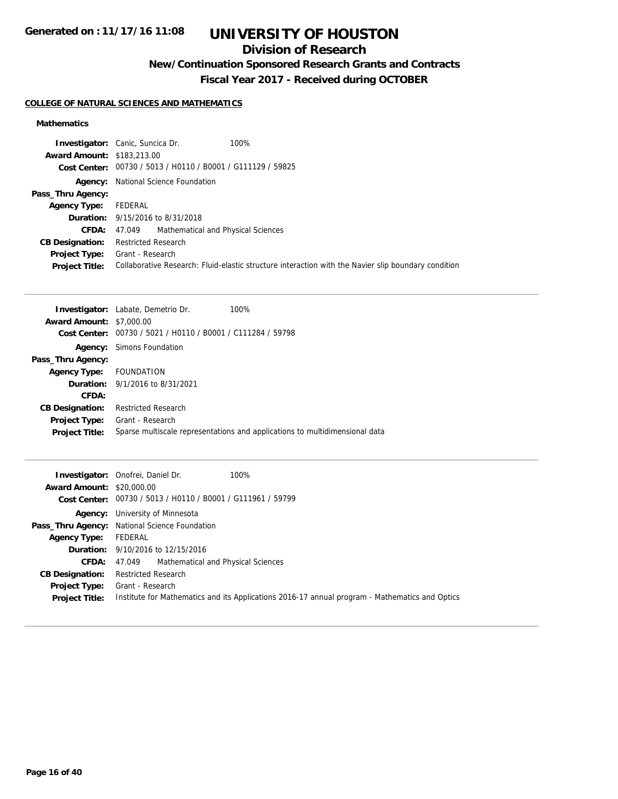## **Division of Research**

## **New/Continuation Sponsored Research Grants and Contracts**

**Fiscal Year 2017 - Received during OCTOBER**

### **COLLEGE OF NATURAL SCIENCES AND MATHEMATICS**

#### **Mathematics**

|                                   | 100%<br><b>Investigator:</b> Canic, Suncica Dr.                                                     |
|-----------------------------------|-----------------------------------------------------------------------------------------------------|
| <b>Award Amount: \$183,213.00</b> |                                                                                                     |
|                                   | Cost Center: 00730 / 5013 / H0110 / B0001 / G111129 / 59825                                         |
| Agency:                           | National Science Foundation                                                                         |
| Pass_Thru Agency:                 |                                                                                                     |
| <b>Agency Type:</b>               | FEDERAL                                                                                             |
|                                   | <b>Duration:</b> 9/15/2016 to 8/31/2018                                                             |
|                                   | Mathematical and Physical Sciences<br><b>CFDA:</b> 47.049                                           |
| <b>CB Designation:</b>            | <b>Restricted Research</b>                                                                          |
| <b>Project Type:</b>              | Grant - Research                                                                                    |
| <b>Project Title:</b>             | Collaborative Research: Fluid-elastic structure interaction with the Navier slip boundary condition |

|                                 | <b>Investigator:</b> Labate, Demetrio Dr.      | 100%                                                                        |
|---------------------------------|------------------------------------------------|-----------------------------------------------------------------------------|
| <b>Award Amount: \$7,000.00</b> |                                                |                                                                             |
| Cost Center:                    | 00730 / 5021 / H0110 / B0001 / C111284 / 59798 |                                                                             |
|                                 | <b>Agency:</b> Simons Foundation               |                                                                             |
| Pass_Thru Agency:               |                                                |                                                                             |
| Agency Type:                    | FOUNDATION                                     |                                                                             |
|                                 | <b>Duration:</b> 9/1/2016 to 8/31/2021         |                                                                             |
| CFDA:                           |                                                |                                                                             |
| <b>CB Designation:</b>          | <b>Restricted Research</b>                     |                                                                             |
| <b>Project Type:</b>            | Grant - Research                               |                                                                             |
| <b>Project Title:</b>           |                                                | Sparse multiscale representations and applications to multidimensional data |
|                                 |                                                |                                                                             |

|                                  | 100%<br><b>Investigator:</b> Onofrei, Daniel Dr.                                               |
|----------------------------------|------------------------------------------------------------------------------------------------|
| <b>Award Amount: \$20,000.00</b> |                                                                                                |
|                                  | Cost Center: 00730 / 5013 / H0110 / B0001 / G111961 / 59799                                    |
|                                  | <b>Agency:</b> University of Minnesota                                                         |
|                                  | Pass_Thru Agency: National Science Foundation                                                  |
| <b>Agency Type:</b> FEDERAL      |                                                                                                |
|                                  | <b>Duration:</b> 9/10/2016 to 12/15/2016                                                       |
| CFDA:                            | 47.049 Mathematical and Physical Sciences                                                      |
| <b>CB Designation:</b>           | <b>Restricted Research</b>                                                                     |
| <b>Project Type:</b>             | Grant - Research                                                                               |
| <b>Project Title:</b>            | Institute for Mathematics and its Applications 2016-17 annual program - Mathematics and Optics |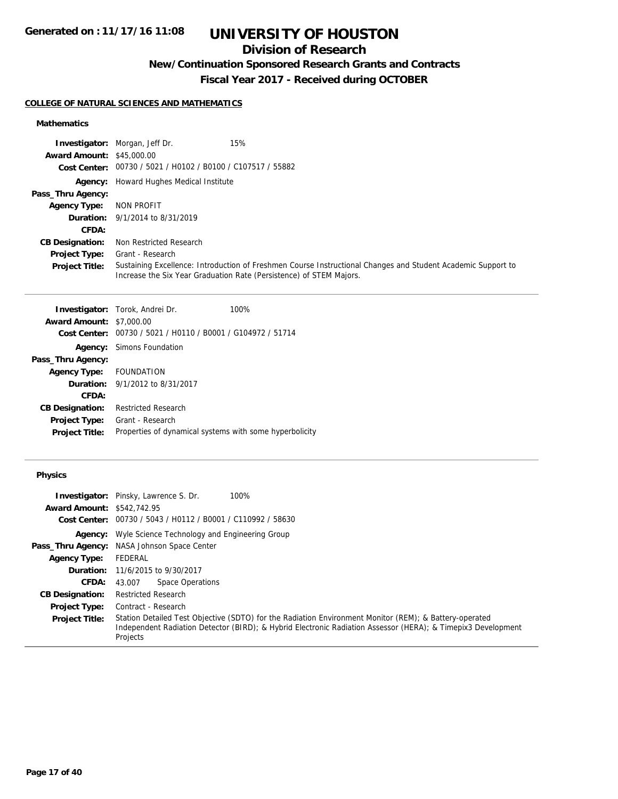## **Division of Research**

## **New/Continuation Sponsored Research Grants and Contracts**

**Fiscal Year 2017 - Received during OCTOBER**

#### **COLLEGE OF NATURAL SCIENCES AND MATHEMATICS**

#### **Mathematics**

|                                  | 15%<br><b>Investigator:</b> Morgan, Jeff Dr.                                                                                                                                        |
|----------------------------------|-------------------------------------------------------------------------------------------------------------------------------------------------------------------------------------|
| <b>Award Amount: \$45,000.00</b> |                                                                                                                                                                                     |
|                                  | Cost Center: 00730 / 5021 / H0102 / B0100 / C107517 / 55882                                                                                                                         |
|                                  | <b>Agency:</b> Howard Hughes Medical Institute                                                                                                                                      |
| Pass_Thru Agency:                |                                                                                                                                                                                     |
| <b>Agency Type:</b>              | NON PROFIT                                                                                                                                                                          |
|                                  | <b>Duration:</b> 9/1/2014 to 8/31/2019                                                                                                                                              |
| CFDA:                            |                                                                                                                                                                                     |
| <b>CB Designation:</b>           | Non Restricted Research                                                                                                                                                             |
| <b>Project Type:</b>             | Grant - Research                                                                                                                                                                    |
| <b>Project Title:</b>            | Sustaining Excellence: Introduction of Freshmen Course Instructional Changes and Student Academic Support to<br>Increase the Six Year Graduation Rate (Persistence) of STEM Majors. |

|                                                         | 100%                                                                                                                                                                       |
|---------------------------------------------------------|----------------------------------------------------------------------------------------------------------------------------------------------------------------------------|
|                                                         |                                                                                                                                                                            |
| 00730 / 5021 / H0110 / B0001 / G104972 / 51714          |                                                                                                                                                                            |
|                                                         |                                                                                                                                                                            |
|                                                         |                                                                                                                                                                            |
|                                                         |                                                                                                                                                                            |
|                                                         |                                                                                                                                                                            |
|                                                         |                                                                                                                                                                            |
| <b>Restricted Research</b>                              |                                                                                                                                                                            |
| Grant - Research                                        |                                                                                                                                                                            |
| Properties of dynamical systems with some hyperbolicity |                                                                                                                                                                            |
|                                                         | <b>Investigator:</b> Torok, Andrei Dr.<br><b>Award Amount: \$7,000.00</b><br><b>Simons Foundation</b><br>Agency Type: FOUNDATION<br><b>Duration:</b> 9/1/2012 to 8/31/2017 |

### **Physics**

|                                   | <b>Investigator:</b> Pinsky, Lawrence S. Dr.<br>100%                                                                     |
|-----------------------------------|--------------------------------------------------------------------------------------------------------------------------|
| <b>Award Amount: \$542,742.95</b> |                                                                                                                          |
| <b>Cost Center:</b>               | 00730 / 5043 / H0112 / B0001 / C110992 / 58630                                                                           |
|                                   | <b>Agency:</b> Wyle Science Technology and Engineering Group                                                             |
|                                   | Pass_Thru Agency: NASA Johnson Space Center                                                                              |
| <b>Agency Type:</b>               | FEDERAL                                                                                                                  |
|                                   | <b>Duration:</b> 11/6/2015 to 9/30/2017                                                                                  |
| <b>CFDA:</b>                      | Space Operations<br>43.007                                                                                               |
| <b>CB Designation:</b>            | <b>Restricted Research</b>                                                                                               |
| <b>Project Type:</b>              | Contract - Research                                                                                                      |
| <b>Project Title:</b>             | Station Detailed Test Objective (SDTO) for the Radiation Environment Monitor (REM); & Battery-operated                   |
|                                   | Independent Radiation Detector (BIRD); & Hybrid Electronic Radiation Assessor (HERA); & Timepix3 Development<br>Projects |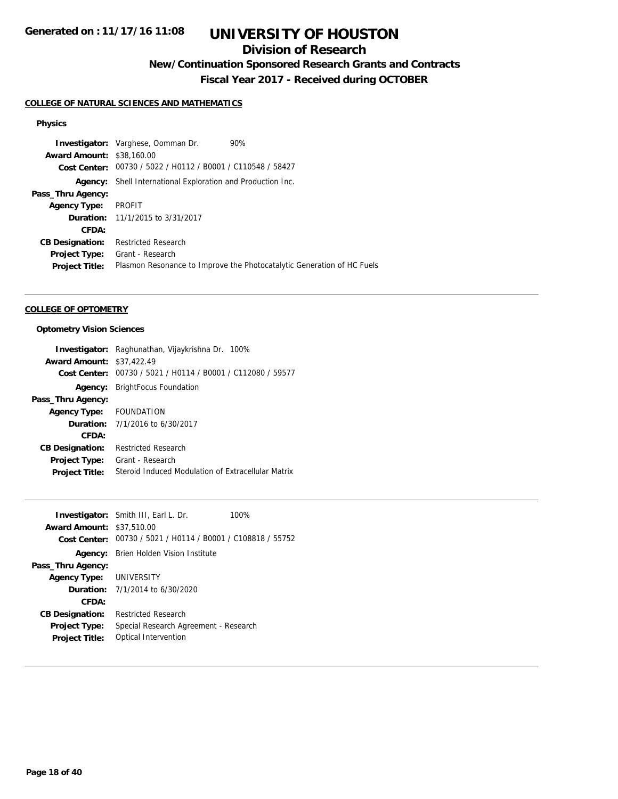## **Division of Research**

**New/Continuation Sponsored Research Grants and Contracts**

**Fiscal Year 2017 - Received during OCTOBER**

#### **COLLEGE OF NATURAL SCIENCES AND MATHEMATICS**

#### **Physics**

**Investigator:** Varghese, Oomman Dr. 90% **Award Amount:** \$38,160.00 **Cost Center:** 00730 / 5022 / H0112 / B0001 / C110548 / 58427 **Agency:** Shell International Exploration and Production Inc. **Pass\_Thru Agency: Agency Type:** PROFIT **Duration:** 11/1/2015 to 3/31/2017 **CFDA: CB Designation:** Restricted Research **Project Type:** Grant - Research Project Title: Plasmon Resonance to Improve the Photocatalytic Generation of HC Fuels

#### **COLLEGE OF OPTOMETRY**

#### **Optometry Vision Sciences**

|                                  | <b>Investigator:</b> Raghunathan, Vijaykrishna Dr. 100%     |
|----------------------------------|-------------------------------------------------------------|
| <b>Award Amount: \$37,422.49</b> |                                                             |
|                                  | Cost Center: 00730 / 5021 / H0114 / B0001 / C112080 / 59577 |
|                                  | <b>Agency:</b> BrightFocus Foundation                       |
| Pass_Thru Agency:                |                                                             |
| Agency Type: FOUNDATION          |                                                             |
|                                  | <b>Duration:</b> $7/1/2016$ to $6/30/2017$                  |
| CFDA:                            |                                                             |
| <b>CB Designation:</b>           | <b>Restricted Research</b>                                  |
|                                  | <b>Project Type:</b> Grant - Research                       |
| <b>Project Title:</b>            | Steroid Induced Modulation of Extracellular Matrix          |

| <b>Award Amount: \$37,510.00</b> | <b>Investigator:</b> Smith III, Earl L. Dr.                 | 100% |
|----------------------------------|-------------------------------------------------------------|------|
|                                  | Cost Center: 00730 / 5021 / H0114 / B0001 / C108818 / 55752 |      |
| Pass_Thru Agency:                | <b>Agency:</b> Brien Holden Vision Institute                |      |
| Agency Type: UNIVERSITY          |                                                             |      |
|                                  | <b>Duration:</b> 7/1/2014 to 6/30/2020                      |      |
| CFDA:                            |                                                             |      |
| <b>CB Designation:</b>           | <b>Restricted Research</b>                                  |      |
| <b>Project Type:</b>             | Special Research Agreement - Research                       |      |
| <b>Project Title:</b>            | Optical Intervention                                        |      |
|                                  |                                                             |      |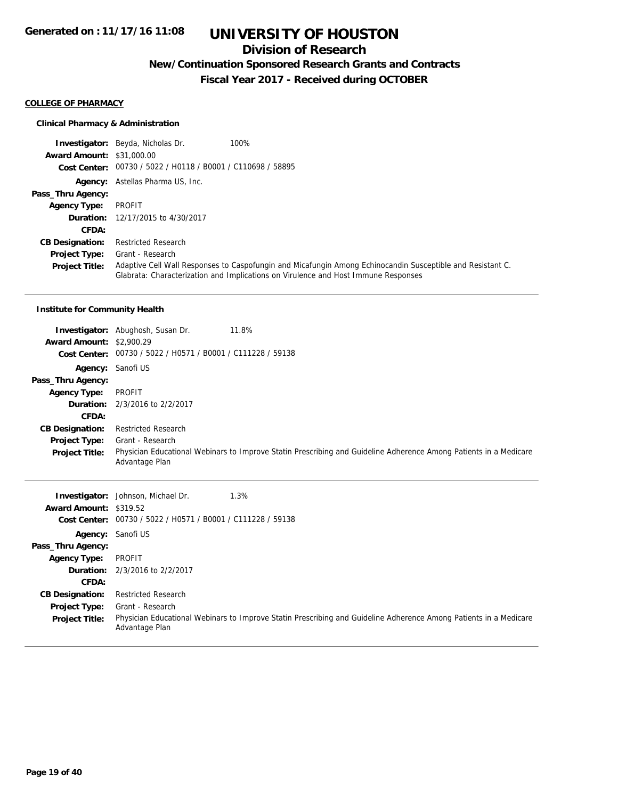### **Division of Research**

### **New/Continuation Sponsored Research Grants and Contracts**

**Fiscal Year 2017 - Received during OCTOBER**

#### **COLLEGE OF PHARMACY**

#### **Clinical Pharmacy & Administration**

**Investigator:** Beyda, Nicholas Dr. 100% **Award Amount:** \$31,000.00 **Cost Center:** 00730 / 5022 / H0118 / B0001 / C110698 / 58895 **Agency:** Astellas Pharma US, Inc. **Pass\_Thru Agency: Agency Type:** PROFIT **Duration:** 12/17/2015 to 4/30/2017 **CFDA: CB Designation:** Restricted Research **Project Type: Project Title:** Adaptive Cell Wall Responses to Caspofungin and Micafungin Among Echinocandin Susceptible and Resistant C. Glabrata: Characterization and Implications on Virulence and Host Immune Responses Grant - Research

### **Institute for Community Health**

|                                 | <b>Investigator:</b> Abughosh, Susan Dr.                    | 11.8%                                                                                                             |
|---------------------------------|-------------------------------------------------------------|-------------------------------------------------------------------------------------------------------------------|
| <b>Award Amount: \$2,900.29</b> |                                                             |                                                                                                                   |
|                                 | Cost Center: 00730 / 5022 / H0571 / B0001 / C111228 / 59138 |                                                                                                                   |
| Agency: Sanofi US               |                                                             |                                                                                                                   |
| Pass_Thru Agency:               |                                                             |                                                                                                                   |
| <b>Agency Type:</b>             | PROFIT                                                      |                                                                                                                   |
|                                 | <b>Duration:</b> 2/3/2016 to 2/2/2017                       |                                                                                                                   |
| CFDA:                           |                                                             |                                                                                                                   |
| <b>CB Designation:</b>          | Restricted Research                                         |                                                                                                                   |
| <b>Project Type:</b>            | Grant - Research                                            |                                                                                                                   |
| <b>Project Title:</b>           | Advantage Plan                                              | Physician Educational Webinars to Improve Statin Prescribing and Guideline Adherence Among Patients in a Medicare |

| Award Amount: \$319.52 | 1.3%<br><b>Investigator:</b> Johnson, Michael Dr.<br>Cost Center: 00730 / 5022 / H0571 / B0001 / C111228 / 59138                    |
|------------------------|-------------------------------------------------------------------------------------------------------------------------------------|
|                        | Agency: Sanofi US                                                                                                                   |
| Pass_Thru Agency:      |                                                                                                                                     |
| <b>Agency Type:</b>    | PROFIT                                                                                                                              |
|                        | <b>Duration:</b> 2/3/2016 to 2/2/2017                                                                                               |
| CFDA:                  |                                                                                                                                     |
| <b>CB Designation:</b> | <b>Restricted Research</b>                                                                                                          |
| <b>Project Type:</b>   | Grant - Research                                                                                                                    |
| <b>Project Title:</b>  | Physician Educational Webinars to Improve Statin Prescribing and Guideline Adherence Among Patients in a Medicare<br>Advantage Plan |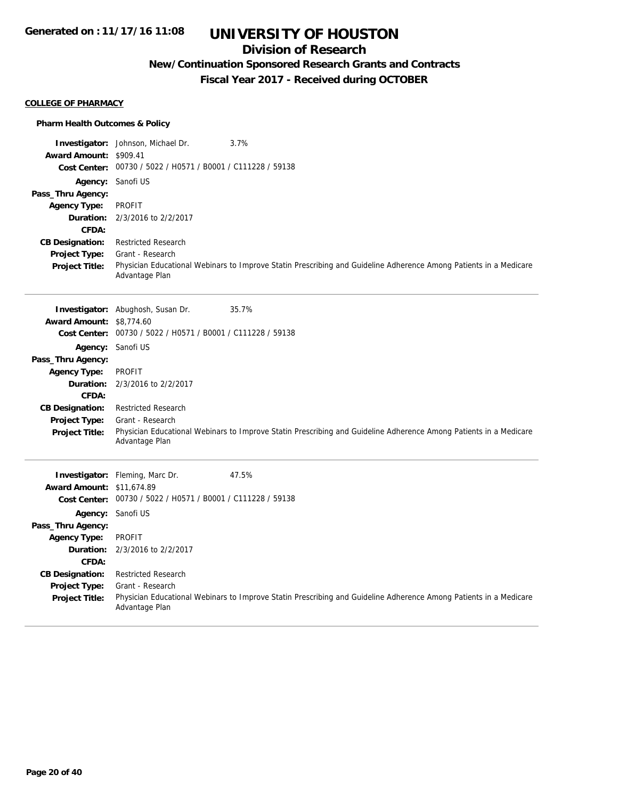## **Division of Research**

## **New/Continuation Sponsored Research Grants and Contracts**

**Fiscal Year 2017 - Received during OCTOBER**

#### **COLLEGE OF PHARMACY**

#### **Pharm Health Outcomes & Policy**

|                                  | 3.7%<br><b>Investigator:</b> Johnson, Michael Dr.                                                                                   |
|----------------------------------|-------------------------------------------------------------------------------------------------------------------------------------|
| Award Amount: \$909.41           | Cost Center: 00730 / 5022 / H0571 / B0001 / C111228 / 59138                                                                         |
|                                  |                                                                                                                                     |
|                                  | Agency: Sanofi US                                                                                                                   |
| Pass_Thru Agency:                | <b>PROFIT</b>                                                                                                                       |
| <b>Agency Type:</b><br>Duration: | 2/3/2016 to 2/2/2017                                                                                                                |
| CFDA:                            |                                                                                                                                     |
| <b>CB Designation:</b>           | <b>Restricted Research</b>                                                                                                          |
| Project Type:                    | Grant - Research                                                                                                                    |
| <b>Project Title:</b>            | Physician Educational Webinars to Improve Statin Prescribing and Guideline Adherence Among Patients in a Medicare<br>Advantage Plan |
|                                  | 35.7%<br>Investigator: Abughosh, Susan Dr.                                                                                          |
| <b>Award Amount:</b>             | \$8,774.60                                                                                                                          |
|                                  | Cost Center: 00730 / 5022 / H0571 / B0001 / C111228 / 59138                                                                         |
| Agency:                          | Sanofi US                                                                                                                           |
| Pass_Thru Agency:                |                                                                                                                                     |
| <b>Agency Type:</b>              | <b>PROFIT</b>                                                                                                                       |
| Duration:                        | 2/3/2016 to 2/2/2017                                                                                                                |
| CFDA:                            |                                                                                                                                     |
| <b>CB Designation:</b>           | <b>Restricted Research</b>                                                                                                          |
| Project Type:                    | Grant - Research                                                                                                                    |
| <b>Project Title:</b>            | Physician Educational Webinars to Improve Statin Prescribing and Guideline Adherence Among Patients in a Medicare<br>Advantage Plan |
|                                  | Investigator: Fleming, Marc Dr.<br>47.5%                                                                                            |
| <b>Award Amount: \$11,674.89</b> |                                                                                                                                     |
|                                  | Cost Center: 00730 / 5022 / H0571 / B0001 / C111228 / 59138                                                                         |
|                                  | Agency: Sanofi US                                                                                                                   |
| Pass_Thru Agency:                |                                                                                                                                     |
| <b>Agency Type:</b>              | <b>PROFIT</b>                                                                                                                       |
| Duration:                        | 2/3/2016 to 2/2/2017                                                                                                                |
| CFDA:                            |                                                                                                                                     |
| <b>CB Designation:</b>           | <b>Restricted Research</b>                                                                                                          |
| Project Type:                    | Grant - Research                                                                                                                    |
| <b>Project Title:</b>            | Physician Educational Webinars to Improve Statin Prescribing and Guideline Adherence Among Patients in a Medicare<br>Advantage Plan |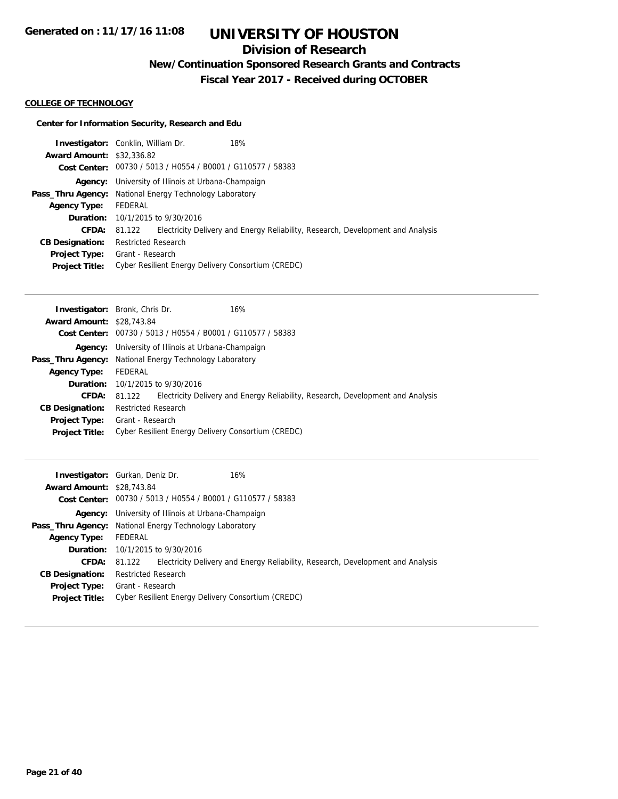## **Division of Research**

**New/Continuation Sponsored Research Grants and Contracts**

**Fiscal Year 2017 - Received during OCTOBER**

#### **COLLEGE OF TECHNOLOGY**

#### **Center for Information Security, Research and Edu**

| <b>Investigator:</b> Conklin, William Dr.                      |                            |                                                             | 18%                                                                             |
|----------------------------------------------------------------|----------------------------|-------------------------------------------------------------|---------------------------------------------------------------------------------|
| <b>Award Amount: \$32,336.82</b>                               |                            |                                                             |                                                                                 |
|                                                                |                            | Cost Center: 00730 / 5013 / H0554 / B0001 / G110577 / 58383 |                                                                                 |
|                                                                |                            | <b>Agency:</b> University of Illinois at Urbana-Champaign   |                                                                                 |
| <b>Pass_Thru Agency:</b> National Energy Technology Laboratory |                            |                                                             |                                                                                 |
| <b>Agency Type:</b>                                            | FEDERAL                    |                                                             |                                                                                 |
|                                                                |                            | <b>Duration:</b> 10/1/2015 to 9/30/2016                     |                                                                                 |
| <b>CFDA:</b>                                                   | 81.122                     |                                                             | Electricity Delivery and Energy Reliability, Research, Development and Analysis |
| <b>CB Designation:</b>                                         | <b>Restricted Research</b> |                                                             |                                                                                 |
| Project Type:                                                  | Grant - Research           |                                                             |                                                                                 |
| <b>Project Title:</b>                                          |                            |                                                             | Cyber Resilient Energy Delivery Consortium (CREDC)                              |

|                                  | <b>Investigator:</b> Bronk, Chris Dr.<br>16%                                              |  |
|----------------------------------|-------------------------------------------------------------------------------------------|--|
| <b>Award Amount: \$28,743.84</b> |                                                                                           |  |
|                                  | Cost Center: 00730 / 5013 / H0554 / B0001 / G110577 / 58383                               |  |
|                                  | <b>Agency:</b> University of Illinois at Urbana-Champaign                                 |  |
|                                  | <b>Pass_Thru Agency:</b> National Energy Technology Laboratory                            |  |
| <b>Agency Type:</b>              | FEDERAL                                                                                   |  |
|                                  | <b>Duration:</b> $10/1/2015$ to $9/30/2016$                                               |  |
| <b>CFDA:</b>                     | Electricity Delivery and Energy Reliability, Research, Development and Analysis<br>81.122 |  |
| <b>CB Designation:</b>           | <b>Restricted Research</b>                                                                |  |
| <b>Project Type:</b>             | Grant - Research                                                                          |  |
| <b>Project Title:</b>            | Cyber Resilient Energy Delivery Consortium (CREDC)                                        |  |

|                                  | 16%<br><b>Investigator:</b> Gurkan, Deniz Dr.                                                       |
|----------------------------------|-----------------------------------------------------------------------------------------------------|
| <b>Award Amount: \$28,743.84</b> |                                                                                                     |
|                                  | Cost Center: 00730 / 5013 / H0554 / B0001 / G110577 / 58383                                         |
|                                  | <b>Agency:</b> University of Illinois at Urbana-Champaign                                           |
|                                  | <b>Pass_Thru Agency:</b> National Energy Technology Laboratory                                      |
| <b>Agency Type:</b>              | FEDERAL                                                                                             |
|                                  | <b>Duration:</b> 10/1/2015 to 9/30/2016                                                             |
|                                  | <b>CFDA:</b> 81.122 Electricity Delivery and Energy Reliability, Research, Development and Analysis |
| <b>CB Designation:</b>           | <b>Restricted Research</b>                                                                          |
| Project Type:                    | Grant - Research                                                                                    |
| <b>Project Title:</b>            | Cyber Resilient Energy Delivery Consortium (CREDC)                                                  |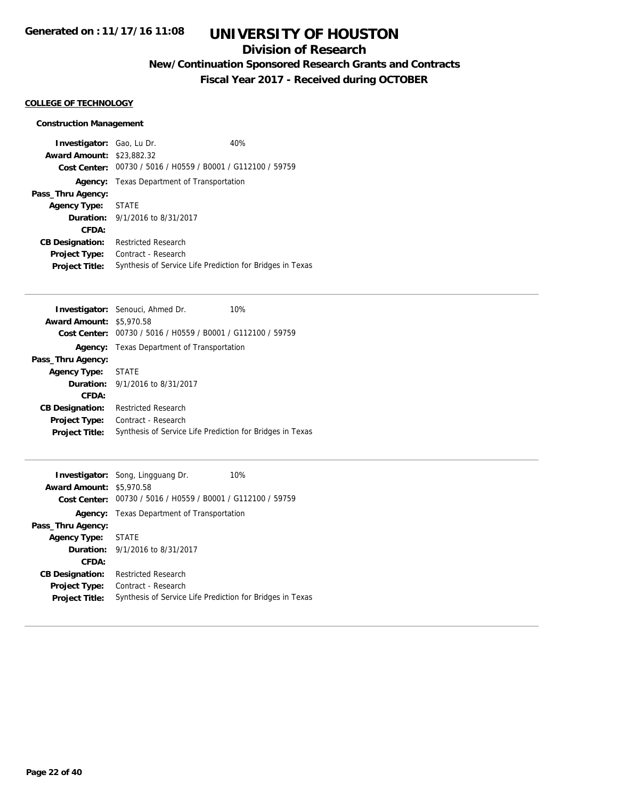## **Division of Research**

## **New/Continuation Sponsored Research Grants and Contracts**

**Fiscal Year 2017 - Received during OCTOBER**

#### **COLLEGE OF TECHNOLOGY**

#### **Construction Management**

| <b>Investigator:</b> Gao, Lu Dr.<br><b>Award Amount: \$23,882.32</b> |                                        | 40%<br>Cost Center: 00730 / 5016 / H0559 / B0001 / G112100 / 59759 |  |
|----------------------------------------------------------------------|----------------------------------------|--------------------------------------------------------------------|--|
| Agency:                                                              | Texas Department of Transportation     |                                                                    |  |
| Pass_Thru Agency:                                                    |                                        |                                                                    |  |
| <b>Agency Type:</b>                                                  | <b>STATE</b>                           |                                                                    |  |
|                                                                      | <b>Duration:</b> 9/1/2016 to 8/31/2017 |                                                                    |  |
| CFDA:                                                                |                                        |                                                                    |  |
| <b>CB Designation:</b>                                               | <b>Restricted Research</b>             |                                                                    |  |
| <b>Project Type:</b>                                                 | Contract - Research                    |                                                                    |  |
| <b>Project Title:</b>                                                |                                        | Synthesis of Service Life Prediction for Bridges in Texas          |  |

| <b>Investigator:</b> Senouci, Ahmed Dr.<br>10%              |
|-------------------------------------------------------------|
| <b>Award Amount: \$5,970.58</b>                             |
| Cost Center: 00730 / 5016 / H0559 / B0001 / G112100 / 59759 |
| Texas Department of Transportation<br>Agency:               |
| Pass_Thru Agency:                                           |
| STATE                                                       |
| <b>Duration:</b> $9/1/2016$ to $8/31/2017$                  |
|                                                             |
| <b>Restricted Research</b>                                  |
| Contract - Research                                         |
| Synthesis of Service Life Prediction for Bridges in Texas   |
|                                                             |

| <b>Award Amount: \$5,970.58</b> | 10%<br><b>Investigator:</b> Song, Lingguang Dr.<br>Cost Center: 00730 / 5016 / H0559 / B0001 / G112100 / 59759 |  |
|---------------------------------|----------------------------------------------------------------------------------------------------------------|--|
| Agency:                         | Texas Department of Transportation                                                                             |  |
| Pass_Thru Agency:               |                                                                                                                |  |
| <b>Agency Type:</b>             | STATE                                                                                                          |  |
|                                 | <b>Duration:</b> 9/1/2016 to 8/31/2017                                                                         |  |
| CFDA:                           |                                                                                                                |  |
| <b>CB Designation:</b>          | <b>Restricted Research</b>                                                                                     |  |
| <b>Project Type:</b>            | Contract - Research                                                                                            |  |
| <b>Project Title:</b>           | Synthesis of Service Life Prediction for Bridges in Texas                                                      |  |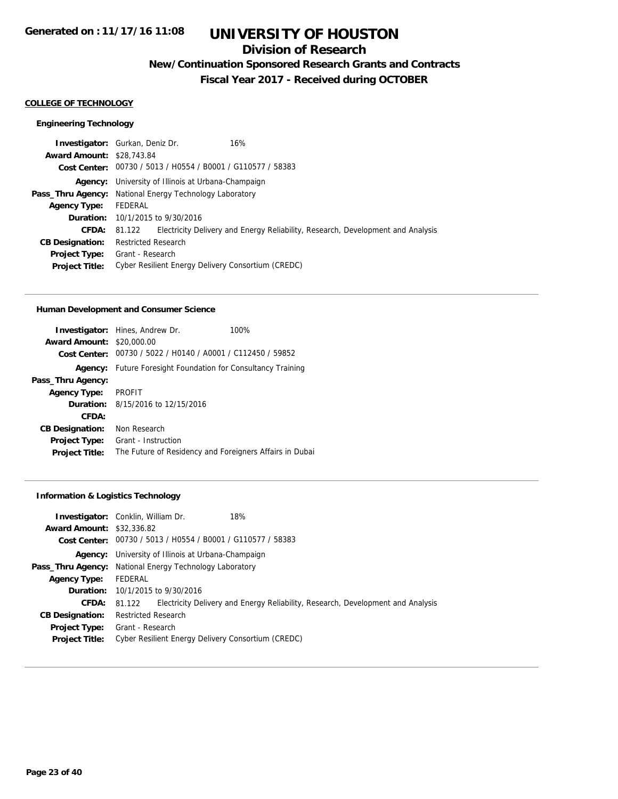## **Division of Research**

**New/Continuation Sponsored Research Grants and Contracts**

**Fiscal Year 2017 - Received during OCTOBER**

#### **COLLEGE OF TECHNOLOGY**

#### **Engineering Technology**

|                                  | <b>Investigator:</b> Gurkan, Deniz Dr.                         | 16%                                                                                    |
|----------------------------------|----------------------------------------------------------------|----------------------------------------------------------------------------------------|
| <b>Award Amount: \$28,743.84</b> |                                                                |                                                                                        |
|                                  | Cost Center: 00730 / 5013 / H0554 / B0001 / G110577 / 58383    |                                                                                        |
|                                  | <b>Agency:</b> University of Illinois at Urbana-Champaign      |                                                                                        |
|                                  | <b>Pass_Thru Agency:</b> National Energy Technology Laboratory |                                                                                        |
| <b>Agency Type:</b>              | FEDERAL                                                        |                                                                                        |
|                                  | <b>Duration:</b> 10/1/2015 to 9/30/2016                        |                                                                                        |
| <b>CFDA:</b>                     |                                                                | 81.122 Electricity Delivery and Energy Reliability, Research, Development and Analysis |
| <b>CB Designation:</b>           | Restricted Research                                            |                                                                                        |
| <b>Project Type:</b>             | Grant - Research                                               |                                                                                        |
| <b>Project Title:</b>            | Cyber Resilient Energy Delivery Consortium (CREDC)             |                                                                                        |

#### **Human Development and Consumer Science**

|                        | <b>Investigator:</b> Hines, Andrew Dr.                              | 100% |
|------------------------|---------------------------------------------------------------------|------|
| <b>Award Amount:</b>   | \$20,000.00                                                         |      |
|                        | Cost Center: 00730 / 5022 / H0140 / A0001 / C112450 / 59852         |      |
|                        | <b>Agency:</b> Future Foresight Foundation for Consultancy Training |      |
| Pass_Thru Agency:      |                                                                     |      |
| <b>Agency Type:</b>    | <b>PROFIT</b>                                                       |      |
|                        | <b>Duration:</b> 8/15/2016 to 12/15/2016                            |      |
| CFDA:                  |                                                                     |      |
| <b>CB Designation:</b> | Non Research                                                        |      |
| Project Type:          | Grant - Instruction                                                 |      |
| <b>Project Title:</b>  | The Future of Residency and Foreigners Affairs in Dubai             |      |

#### **Information & Logistics Technology**

|                                  | <b>Investigator:</b> Conklin, William Dr.                      | 18%                                                                                    |
|----------------------------------|----------------------------------------------------------------|----------------------------------------------------------------------------------------|
| <b>Award Amount: \$32,336.82</b> |                                                                |                                                                                        |
|                                  | Cost Center: 00730 / 5013 / H0554 / B0001 / G110577 / 58383    |                                                                                        |
|                                  | Agency: University of Illinois at Urbana-Champaign             |                                                                                        |
|                                  | <b>Pass_Thru Agency:</b> National Energy Technology Laboratory |                                                                                        |
| <b>Agency Type:</b>              | FEDERAL                                                        |                                                                                        |
|                                  | <b>Duration:</b> 10/1/2015 to 9/30/2016                        |                                                                                        |
| <b>CFDA:</b>                     |                                                                | 81.122 Electricity Delivery and Energy Reliability, Research, Development and Analysis |
| <b>CB Designation:</b>           | <b>Restricted Research</b>                                     |                                                                                        |
| <b>Project Type:</b>             | Grant - Research                                               |                                                                                        |
| <b>Project Title:</b>            | Cyber Resilient Energy Delivery Consortium (CREDC)             |                                                                                        |
|                                  |                                                                |                                                                                        |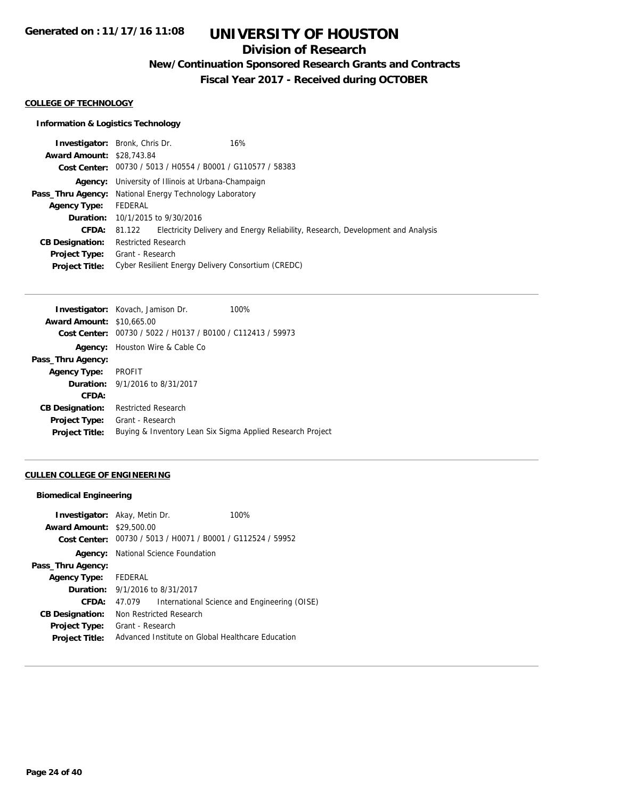## **Division of Research**

**New/Continuation Sponsored Research Grants and Contracts**

**Fiscal Year 2017 - Received during OCTOBER**

#### **COLLEGE OF TECHNOLOGY**

#### **Information & Logistics Technology**

| <b>Investigator:</b> Bronk, Chris Dr.                          |                            |                                                             | 16%                                                                             |
|----------------------------------------------------------------|----------------------------|-------------------------------------------------------------|---------------------------------------------------------------------------------|
| <b>Award Amount: \$28,743.84</b>                               |                            |                                                             |                                                                                 |
|                                                                |                            | Cost Center: 00730 / 5013 / H0554 / B0001 / G110577 / 58383 |                                                                                 |
|                                                                |                            | <b>Agency:</b> University of Illinois at Urbana-Champaign   |                                                                                 |
| <b>Pass_Thru Agency:</b> National Energy Technology Laboratory |                            |                                                             |                                                                                 |
| Agency Type:                                                   | FEDERAL                    |                                                             |                                                                                 |
|                                                                |                            | <b>Duration:</b> 10/1/2015 to 9/30/2016                     |                                                                                 |
| <b>CFDA:</b>                                                   | 81.122                     |                                                             | Electricity Delivery and Energy Reliability, Research, Development and Analysis |
| <b>CB Designation:</b>                                         | <b>Restricted Research</b> |                                                             |                                                                                 |
| <b>Project Type:</b>                                           | Grant - Research           |                                                             |                                                                                 |
| <b>Project Title:</b>                                          |                            |                                                             | Cyber Resilient Energy Delivery Consortium (CREDC)                              |

|                                  | Investigator: Kovach, Jamison Dr.                           | 100% |
|----------------------------------|-------------------------------------------------------------|------|
| <b>Award Amount: \$10,665,00</b> |                                                             |      |
|                                  | Cost Center: 00730 / 5022 / H0137 / B0100 / C112413 / 59973 |      |
| Agency:                          | Houston Wire & Cable Co                                     |      |
| Pass_Thru Agency:                |                                                             |      |
| <b>Agency Type:</b>              | PROFIT                                                      |      |
|                                  | <b>Duration:</b> 9/1/2016 to 8/31/2017                      |      |
| CFDA:                            |                                                             |      |
| <b>CB Designation:</b>           | Restricted Research                                         |      |
| <b>Project Type:</b>             | Grant - Research                                            |      |
| <b>Project Title:</b>            | Buying & Inventory Lean Six Sigma Applied Research Project  |      |
|                                  |                                                             |      |

### **CULLEN COLLEGE OF ENGINEERING**

#### **Biomedical Engineering**

| <b>Investigator:</b> Akay, Metin Dr.<br><b>Award Amount: \$29,500.00</b><br><b>Cost Center:</b> |                                                   | 00730 / 5013 / H0071 / B0001 / G112524 / 59952 | 100%                                         |
|-------------------------------------------------------------------------------------------------|---------------------------------------------------|------------------------------------------------|----------------------------------------------|
| Agency:                                                                                         |                                                   | National Science Foundation                    |                                              |
| Pass_Thru Agency:                                                                               |                                                   |                                                |                                              |
| <b>Agency Type:</b>                                                                             | FEDERAL                                           |                                                |                                              |
| <b>Duration:</b> 9/1/2016 to 8/31/2017                                                          |                                                   |                                                |                                              |
| CFDA:                                                                                           | 47.079                                            |                                                | International Science and Engineering (OISE) |
| <b>CB Designation:</b>                                                                          | Non Restricted Research                           |                                                |                                              |
| <b>Project Type:</b>                                                                            | Grant - Research                                  |                                                |                                              |
| <b>Project Title:</b>                                                                           | Advanced Institute on Global Healthcare Education |                                                |                                              |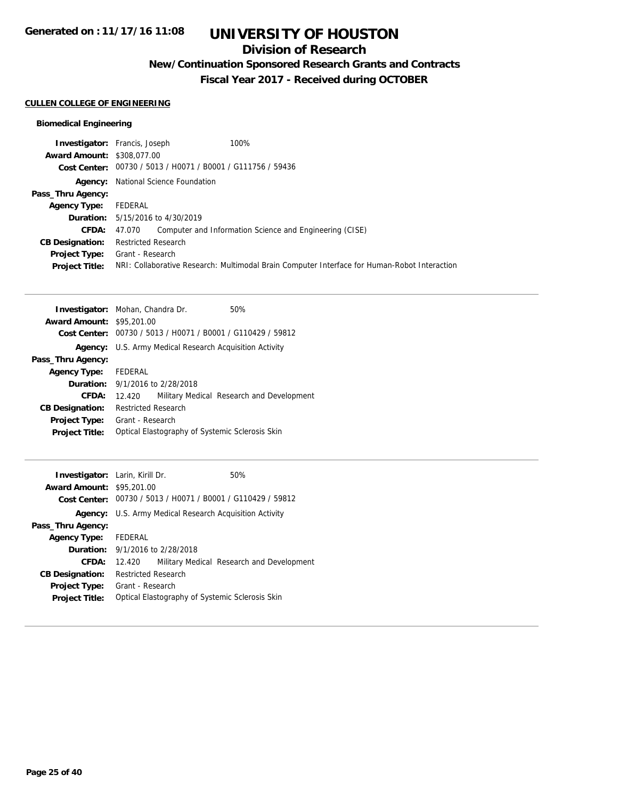### **Division of Research**

**New/Continuation Sponsored Research Grants and Contracts**

**Fiscal Year 2017 - Received during OCTOBER**

### **CULLEN COLLEGE OF ENGINEERING**

#### **Biomedical Engineering**

|                                   | <b>Investigator:</b> Francis, Joseph<br>100%                                                 |  |
|-----------------------------------|----------------------------------------------------------------------------------------------|--|
| <b>Award Amount: \$308,077,00</b> |                                                                                              |  |
|                                   | Cost Center: 00730 / 5013 / H0071 / B0001 / G111756 / 59436                                  |  |
|                                   | <b>Agency:</b> National Science Foundation                                                   |  |
| Pass_Thru Agency:                 |                                                                                              |  |
| Agency Type: FEDERAL              |                                                                                              |  |
|                                   | <b>Duration:</b> 5/15/2016 to 4/30/2019                                                      |  |
| CFDA:                             | Computer and Information Science and Engineering (CISE)<br>47.070                            |  |
| <b>CB Designation:</b>            | <b>Restricted Research</b>                                                                   |  |
|                                   | <b>Project Type:</b> Grant - Research                                                        |  |
| <b>Project Title:</b>             | NRI: Collaborative Research: Multimodal Brain Computer Interface for Human-Robot Interaction |  |
|                                   |                                                                                              |  |

|                            | 50%                                                                                                                                                                                                                                     |  |
|----------------------------|-----------------------------------------------------------------------------------------------------------------------------------------------------------------------------------------------------------------------------------------|--|
|                            |                                                                                                                                                                                                                                         |  |
|                            |                                                                                                                                                                                                                                         |  |
|                            | U.S. Army Medical Research Acquisition Activity                                                                                                                                                                                         |  |
|                            |                                                                                                                                                                                                                                         |  |
| FEDERAL                    |                                                                                                                                                                                                                                         |  |
|                            |                                                                                                                                                                                                                                         |  |
| 12.420                     | Military Medical Research and Development                                                                                                                                                                                               |  |
| <b>Restricted Research</b> |                                                                                                                                                                                                                                         |  |
| Grant - Research           |                                                                                                                                                                                                                                         |  |
|                            |                                                                                                                                                                                                                                         |  |
|                            | <b>Investigator:</b> Mohan, Chandra Dr.<br><b>Award Amount: \$95,201.00</b><br>Cost Center: 00730 / 5013 / H0071 / B0001 / G110429 / 59812<br><b>Duration:</b> 9/1/2016 to 2/28/2018<br>Optical Elastography of Systemic Sclerosis Skin |  |

|                                                 |         | 50%                                                                                                                                                                                                                                                                                      |
|-------------------------------------------------|---------|------------------------------------------------------------------------------------------------------------------------------------------------------------------------------------------------------------------------------------------------------------------------------------------|
|                                                 |         |                                                                                                                                                                                                                                                                                          |
|                                                 |         |                                                                                                                                                                                                                                                                                          |
| U.S. Army Medical Research Acquisition Activity |         |                                                                                                                                                                                                                                                                                          |
|                                                 |         |                                                                                                                                                                                                                                                                                          |
|                                                 |         |                                                                                                                                                                                                                                                                                          |
|                                                 |         |                                                                                                                                                                                                                                                                                          |
| 12.420                                          |         | Military Medical Research and Development                                                                                                                                                                                                                                                |
|                                                 |         |                                                                                                                                                                                                                                                                                          |
|                                                 |         |                                                                                                                                                                                                                                                                                          |
|                                                 |         |                                                                                                                                                                                                                                                                                          |
|                                                 | FEDERAL | <b>Investigator:</b> Larin, Kirill Dr.<br><b>Award Amount: \$95,201.00</b><br>Cost Center: 00730 / 5013 / H0071 / B0001 / G110429 / 59812<br><b>Duration:</b> 9/1/2016 to 2/28/2018<br><b>Restricted Research</b><br>Grant - Research<br>Optical Elastography of Systemic Sclerosis Skin |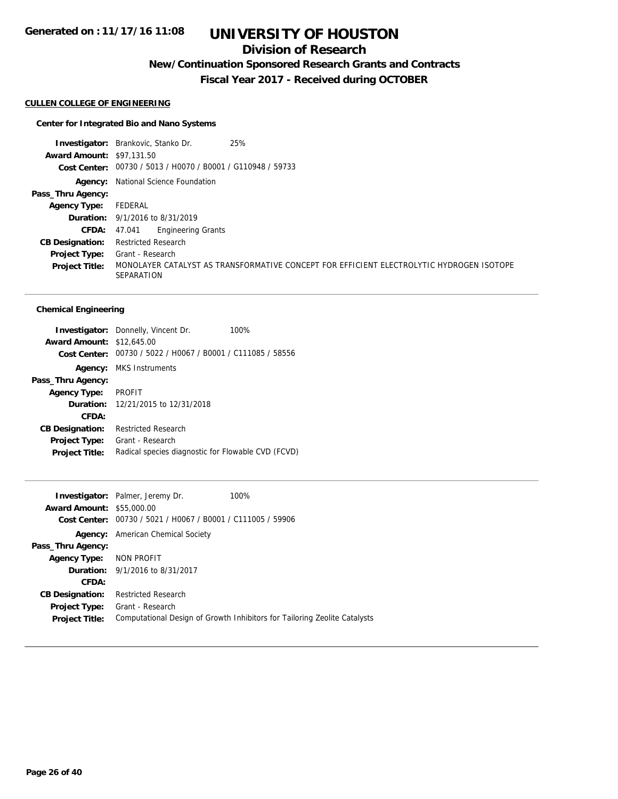## **Division of Research**

**New/Continuation Sponsored Research Grants and Contracts**

**Fiscal Year 2017 - Received during OCTOBER**

#### **CULLEN COLLEGE OF ENGINEERING**

#### **Center for Integrated Bio and Nano Systems**

**Investigator:** Brankovic, Stanko Dr. 25% **Award Amount:** \$97,131.50 **Cost Center:** 00730 / 5013 / H0070 / B0001 / G110948 / 59733 **Agency:** National Science Foundation **Pass\_Thru Agency: Agency Type:** FEDERAL **Duration:** 9/1/2016 to 8/31/2019 **CFDA:** 47.041 Engineering Grants **CB Designation:** Restricted Research **Project Type:** Grant - Research **Project Title:** MONOLAYER CATALYST AS TRANSFORMATIVE CONCEPT FOR EFFICIENT ELECTROLYTIC HYDROGEN ISOTOPE SEPARATION

#### **Chemical Engineering**

|                                  | <b>Investigator:</b> Donnelly, Vincent Dr.         | 100% |
|----------------------------------|----------------------------------------------------|------|
| <b>Award Amount: \$12,645.00</b> |                                                    |      |
| Cost Center:                     | 00730 / 5022 / H0067 / B0001 / C111085 / 58556     |      |
|                                  | <b>Agency:</b> MKS Instruments                     |      |
| Pass_Thru Agency:                |                                                    |      |
| <b>Agency Type:</b>              | <b>PROFIT</b>                                      |      |
|                                  | <b>Duration:</b> 12/21/2015 to 12/31/2018          |      |
| CFDA:                            |                                                    |      |
| <b>CB Designation:</b>           | <b>Restricted Research</b>                         |      |
| <b>Project Type:</b>             | Grant - Research                                   |      |
| <b>Project Title:</b>            | Radical species diagnostic for Flowable CVD (FCVD) |      |

| <b>Award Amount: \$55,000.00</b> | <b>Investigator:</b> Palmer, Jeremy Dr.<br>Cost Center: 00730 / 5021 / H0067 / B0001 / C111005 / 59906 | 100%                                                                      |
|----------------------------------|--------------------------------------------------------------------------------------------------------|---------------------------------------------------------------------------|
| Agency:                          | American Chemical Society                                                                              |                                                                           |
| Pass_Thru Agency:                |                                                                                                        |                                                                           |
| Agency Type: NON PROFIT          |                                                                                                        |                                                                           |
|                                  | <b>Duration:</b> 9/1/2016 to 8/31/2017                                                                 |                                                                           |
| CFDA:                            |                                                                                                        |                                                                           |
| <b>CB Designation:</b>           | <b>Restricted Research</b>                                                                             |                                                                           |
| <b>Project Type:</b>             | Grant - Research                                                                                       |                                                                           |
| <b>Project Title:</b>            |                                                                                                        | Computational Design of Growth Inhibitors for Tailoring Zeolite Catalysts |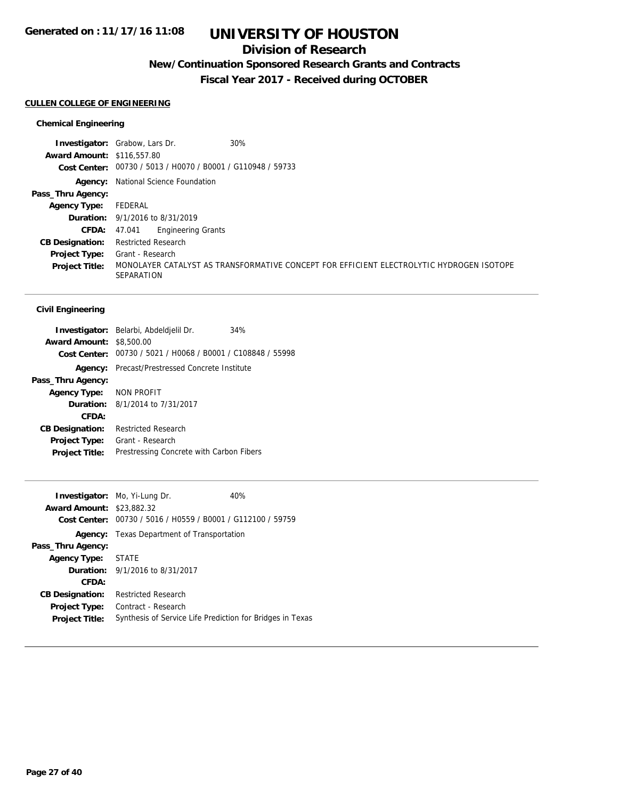### **Division of Research**

## **New/Continuation Sponsored Research Grants and Contracts**

**Fiscal Year 2017 - Received during OCTOBER**

#### **CULLEN COLLEGE OF ENGINEERING**

#### **Chemical Engineering**

|                                   | <b>Investigator:</b> Grabow, Lars Dr.<br>30%                                                                  |
|-----------------------------------|---------------------------------------------------------------------------------------------------------------|
| <b>Award Amount: \$116,557.80</b> |                                                                                                               |
|                                   | Cost Center: 00730 / 5013 / H0070 / B0001 / G110948 / 59733                                                   |
|                                   | <b>Agency:</b> National Science Foundation                                                                    |
| Pass_Thru Agency:                 |                                                                                                               |
| <b>Agency Type:</b>               | FEDERAL                                                                                                       |
|                                   | <b>Duration:</b> 9/1/2016 to 8/31/2019                                                                        |
| <b>CFDA:</b>                      | <b>Engineering Grants</b><br>47.041                                                                           |
| <b>CB Designation:</b>            | <b>Restricted Research</b>                                                                                    |
| <b>Project Type:</b>              | Grant - Research                                                                                              |
| <b>Project Title:</b>             | MONOLAYER CATALYST AS TRANSFORMATIVE CONCEPT FOR EFFICIENT ELECTROLYTIC HYDROGEN ISOTOPE<br><b>SEPARATION</b> |

|                                 | Investigator: Belarbi, Abdeldjelil Dr.                      | 34% |
|---------------------------------|-------------------------------------------------------------|-----|
| <b>Award Amount: \$8,500.00</b> |                                                             |     |
|                                 | Cost Center: 00730 / 5021 / H0068 / B0001 / C108848 / 55998 |     |
| Agency:                         | Precast/Prestressed Concrete Institute                      |     |
| Pass_Thru Agency:               |                                                             |     |
| Agency Type: NON PROFIT         |                                                             |     |
|                                 | <b>Duration:</b> 8/1/2014 to 7/31/2017                      |     |
| CFDA:                           |                                                             |     |
| <b>CB Designation:</b>          | <b>Restricted Research</b>                                  |     |
| <b>Project Type:</b>            | Grant - Research                                            |     |
| <b>Project Title:</b>           | Prestressing Concrete with Carbon Fibers                    |     |

|                        | <b>Investigator:</b> Mo, Yi-Lung Dr.                      | 40% |
|------------------------|-----------------------------------------------------------|-----|
| <b>Award Amount:</b>   | \$23,882.32                                               |     |
| Cost Center:           | 00730 / 5016 / H0559 / B0001 / G112100 / 59759            |     |
|                        | Agency: Texas Department of Transportation                |     |
| Pass_Thru Agency:      |                                                           |     |
| <b>Agency Type:</b>    | <b>STATE</b>                                              |     |
|                        | <b>Duration:</b> 9/1/2016 to 8/31/2017                    |     |
| CFDA:                  |                                                           |     |
| <b>CB Designation:</b> | <b>Restricted Research</b>                                |     |
| Project Type:          | Contract - Research                                       |     |
| <b>Project Title:</b>  | Synthesis of Service Life Prediction for Bridges in Texas |     |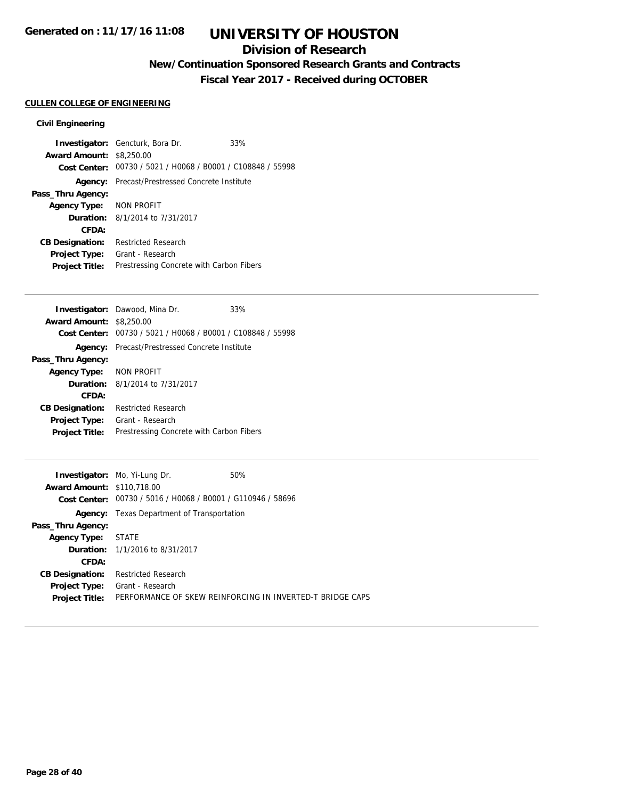## **Division of Research**

## **New/Continuation Sponsored Research Grants and Contracts**

**Fiscal Year 2017 - Received during OCTOBER**

## **CULLEN COLLEGE OF ENGINEERING**

|                                 | <b>Investigator:</b> Gencturk, Bora Dr.                     | 33% |
|---------------------------------|-------------------------------------------------------------|-----|
| <b>Award Amount: \$8,250.00</b> |                                                             |     |
|                                 | Cost Center: 00730 / 5021 / H0068 / B0001 / C108848 / 55998 |     |
|                                 | <b>Agency:</b> Precast/Prestressed Concrete Institute       |     |
| Pass_Thru Agency:               |                                                             |     |
| Agency Type: NON PROFIT         |                                                             |     |
|                                 | <b>Duration:</b> 8/1/2014 to 7/31/2017                      |     |
| CFDA:                           |                                                             |     |
| <b>CB Designation:</b>          | <b>Restricted Research</b>                                  |     |
| <b>Project Type:</b>            | Grant - Research                                            |     |
| <b>Project Title:</b>           | Prestressing Concrete with Carbon Fibers                    |     |

|                                 | <b>Investigator:</b> Dawood, Mina Dr.          | 33% |
|---------------------------------|------------------------------------------------|-----|
| <b>Award Amount: \$8,250.00</b> |                                                |     |
| Cost Center:                    | 00730 / 5021 / H0068 / B0001 / C108848 / 55998 |     |
| Agency:                         | Precast/Prestressed Concrete Institute         |     |
| Pass_Thru Agency:               |                                                |     |
| Agency Type: NON PROFIT         |                                                |     |
|                                 | <b>Duration:</b> 8/1/2014 to 7/31/2017         |     |
| CFDA:                           |                                                |     |
| <b>CB Designation:</b>          | <b>Restricted Research</b>                     |     |
| <b>Project Type:</b>            | Grant - Research                               |     |
| <b>Project Title:</b>           | Prestressing Concrete with Carbon Fibers       |     |
|                                 |                                                |     |

|                                   | <b>Investigator:</b> Mo, Yi-Lung Dr.                        | 50%                                                       |
|-----------------------------------|-------------------------------------------------------------|-----------------------------------------------------------|
| <b>Award Amount: \$110.718.00</b> |                                                             |                                                           |
|                                   | Cost Center: 00730 / 5016 / H0068 / B0001 / G110946 / 58696 |                                                           |
| Agency:                           | Texas Department of Transportation                          |                                                           |
| Pass_Thru Agency:                 |                                                             |                                                           |
| Agency Type: STATE                |                                                             |                                                           |
|                                   | <b>Duration:</b> 1/1/2016 to 8/31/2017                      |                                                           |
| CFDA:                             |                                                             |                                                           |
| <b>CB Designation:</b>            | <b>Restricted Research</b>                                  |                                                           |
| Project Type:                     | Grant - Research                                            |                                                           |
| <b>Project Title:</b>             |                                                             | PERFORMANCE OF SKEW REINFORCING IN INVERTED-T BRIDGE CAPS |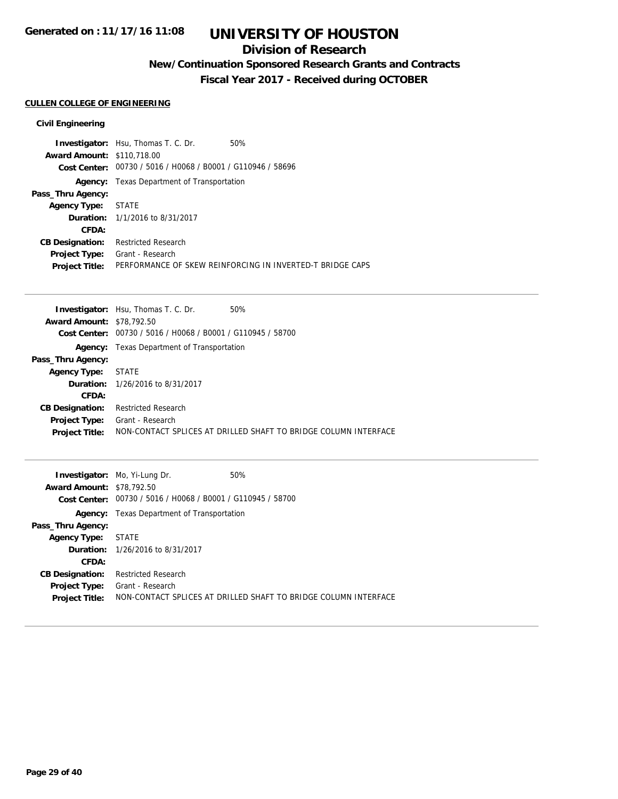### **Division of Research**

## **New/Continuation Sponsored Research Grants and Contracts**

**Fiscal Year 2017 - Received during OCTOBER**

#### **CULLEN COLLEGE OF ENGINEERING**

|                                   | <b>Investigator:</b> Hsu, Thomas T. C. Dr.                  | 50%                                                       |
|-----------------------------------|-------------------------------------------------------------|-----------------------------------------------------------|
| <b>Award Amount: \$110,718.00</b> |                                                             |                                                           |
|                                   | Cost Center: 00730 / 5016 / H0068 / B0001 / G110946 / 58696 |                                                           |
|                                   | <b>Agency:</b> Texas Department of Transportation           |                                                           |
| Pass_Thru Agency:                 |                                                             |                                                           |
| Agency Type: STATE                |                                                             |                                                           |
|                                   | <b>Duration:</b> 1/1/2016 to 8/31/2017                      |                                                           |
| CFDA:                             |                                                             |                                                           |
| <b>CB Designation:</b>            | <b>Restricted Research</b>                                  |                                                           |
| <b>Project Type:</b>              | Grant - Research                                            |                                                           |
| <b>Project Title:</b>             |                                                             | PERFORMANCE OF SKEW REINFORCING IN INVERTED-T BRIDGE CAPS |

|                                  | <b>Investigator:</b> Hsu, Thomas T. C. Dr.        | 50%                                                             |
|----------------------------------|---------------------------------------------------|-----------------------------------------------------------------|
| <b>Award Amount: \$78,792.50</b> |                                                   |                                                                 |
| Cost Center:                     | 00730 / 5016 / H0068 / B0001 / G110945 / 58700    |                                                                 |
|                                  | <b>Agency:</b> Texas Department of Transportation |                                                                 |
| Pass_Thru Agency:                |                                                   |                                                                 |
| <b>Agency Type: STATE</b>        |                                                   |                                                                 |
|                                  | <b>Duration:</b> 1/26/2016 to 8/31/2017           |                                                                 |
| CFDA:                            |                                                   |                                                                 |
| <b>CB Designation:</b>           | <b>Restricted Research</b>                        |                                                                 |
| <b>Project Type:</b>             | Grant - Research                                  |                                                                 |
| <b>Project Title:</b>            |                                                   | NON-CONTACT SPLICES AT DRILLED SHAFT TO BRIDGE COLUMN INTERFACE |
|                                  |                                                   |                                                                 |

|                                  | <b>Investigator:</b> Mo, Yi-Lung Dr.                        | 50%                                                             |
|----------------------------------|-------------------------------------------------------------|-----------------------------------------------------------------|
| <b>Award Amount: \$78,792.50</b> |                                                             |                                                                 |
|                                  | Cost Center: 00730 / 5016 / H0068 / B0001 / G110945 / 58700 |                                                                 |
|                                  | <b>Agency:</b> Texas Department of Transportation           |                                                                 |
| Pass_Thru Agency:                |                                                             |                                                                 |
| <b>Agency Type:</b>              | STATE                                                       |                                                                 |
|                                  | <b>Duration:</b> 1/26/2016 to 8/31/2017                     |                                                                 |
| CFDA:                            |                                                             |                                                                 |
| <b>CB Designation:</b>           | <b>Restricted Research</b>                                  |                                                                 |
| <b>Project Type:</b>             | Grant - Research                                            |                                                                 |
| <b>Project Title:</b>            |                                                             | NON-CONTACT SPLICES AT DRILLED SHAFT TO BRIDGE COLUMN INTERFACE |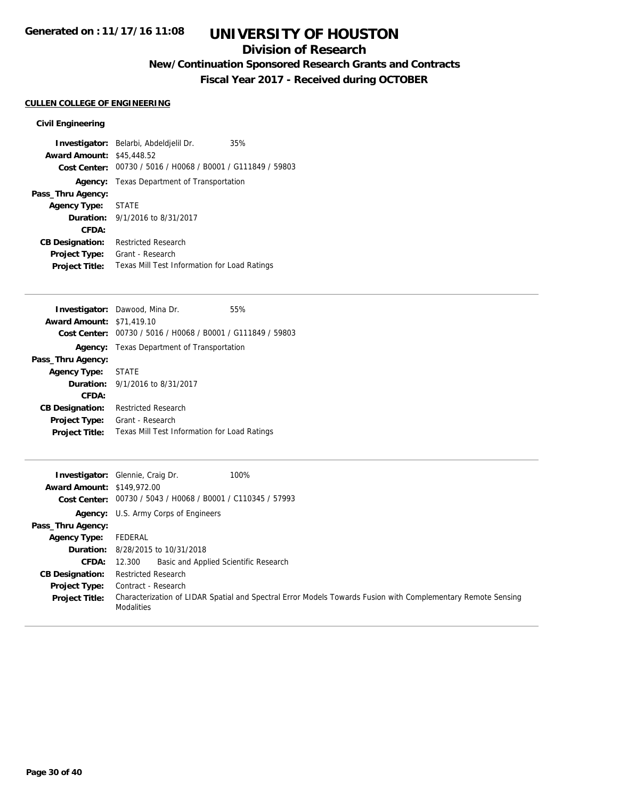### **Division of Research**

**New/Continuation Sponsored Research Grants and Contracts**

**Fiscal Year 2017 - Received during OCTOBER**

### **CULLEN COLLEGE OF ENGINEERING**

|                                  | Investigator: Belarbi, Abdeldjelil Dr.                      | 35% |
|----------------------------------|-------------------------------------------------------------|-----|
| <b>Award Amount: \$45,448.52</b> |                                                             |     |
|                                  | Cost Center: 00730 / 5016 / H0068 / B0001 / G111849 / 59803 |     |
|                                  | Agency: Texas Department of Transportation                  |     |
| Pass_Thru Agency:                |                                                             |     |
| Agency Type: STATE               |                                                             |     |
|                                  | <b>Duration:</b> 9/1/2016 to 8/31/2017                      |     |
| CFDA:                            |                                                             |     |
| <b>CB Designation:</b>           | <b>Restricted Research</b>                                  |     |
| Project Type:                    | Grant - Research                                            |     |
| <b>Project Title:</b>            | Texas Mill Test Information for Load Ratings                |     |

|                                  | <b>Investigator:</b> Dawood, Mina Dr.                       | 55% |
|----------------------------------|-------------------------------------------------------------|-----|
| <b>Award Amount: \$71,419.10</b> |                                                             |     |
|                                  | Cost Center: 00730 / 5016 / H0068 / B0001 / G111849 / 59803 |     |
|                                  | <b>Agency:</b> Texas Department of Transportation           |     |
| Pass_Thru Agency:                |                                                             |     |
| <b>Agency Type:</b>              | <b>STATE</b>                                                |     |
|                                  | <b>Duration:</b> 9/1/2016 to 8/31/2017                      |     |
| CFDA:                            |                                                             |     |
| <b>CB Designation:</b>           | Restricted Research                                         |     |
| <b>Project Type:</b>             | Grant - Research                                            |     |
| <b>Project Title:</b>            | Texas Mill Test Information for Load Ratings                |     |
|                                  |                                                             |     |

| <b>Award Amount: \$149,972.00</b> | 100%<br><b>Investigator:</b> Glennie, Craig Dr.                                                                                   |
|-----------------------------------|-----------------------------------------------------------------------------------------------------------------------------------|
|                                   | Cost Center: 00730 / 5043 / H0068 / B0001 / C110345 / 57993                                                                       |
|                                   | <b>Agency:</b> U.S. Army Corps of Engineers                                                                                       |
| Pass_Thru Agency:                 |                                                                                                                                   |
| Agency Type:                      | FEDERAL                                                                                                                           |
|                                   | <b>Duration:</b> 8/28/2015 to 10/31/2018                                                                                          |
|                                   | Basic and Applied Scientific Research<br>CFDA: 12.300                                                                             |
| <b>CB Designation:</b>            | <b>Restricted Research</b>                                                                                                        |
| <b>Project Type:</b>              | Contract - Research                                                                                                               |
| <b>Project Title:</b>             | Characterization of LIDAR Spatial and Spectral Error Models Towards Fusion with Complementary Remote Sensing<br><b>Modalities</b> |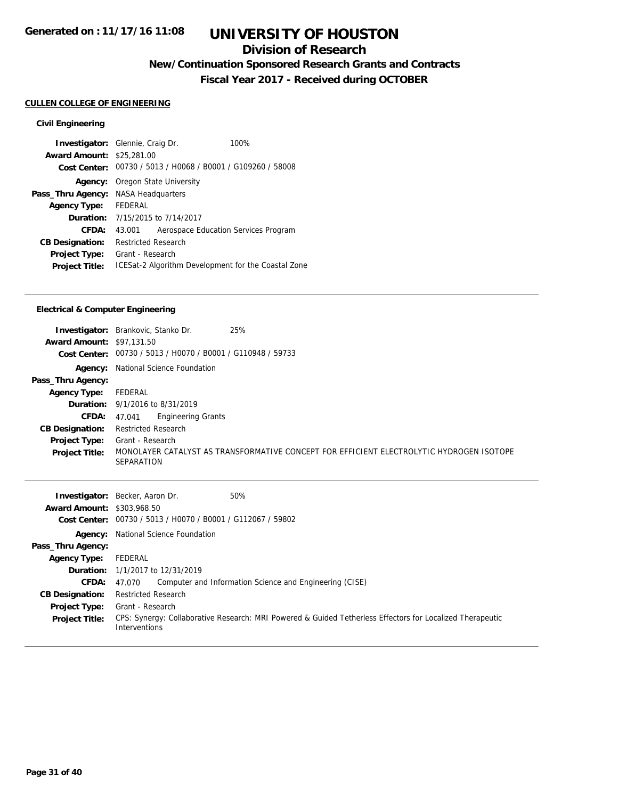### **Division of Research**

## **New/Continuation Sponsored Research Grants and Contracts**

**Fiscal Year 2017 - Received during OCTOBER**

#### **CULLEN COLLEGE OF ENGINEERING**

#### **Civil Engineering**

| <b>Investigator:</b> Glennie, Craig Dr. |                            |                         | 100%                                                        |
|-----------------------------------------|----------------------------|-------------------------|-------------------------------------------------------------|
| <b>Award Amount: \$25,281.00</b>        |                            |                         |                                                             |
|                                         |                            |                         | Cost Center: 00730 / 5013 / H0068 / B0001 / G109260 / 58008 |
| Agency:                                 |                            | Oregon State University |                                                             |
| Pass_Thru Agency: NASA Headquarters     |                            |                         |                                                             |
| Agency Type: FEDERAL                    |                            |                         |                                                             |
| <b>Duration:</b> 7/15/2015 to 7/14/2017 |                            |                         |                                                             |
| CFDA:                                   | 43.001                     |                         | Aerospace Education Services Program                        |
| <b>CB Designation:</b>                  | <b>Restricted Research</b> |                         |                                                             |
| Project Type:                           | Grant - Research           |                         |                                                             |
| <b>Project Title:</b>                   |                            |                         | ICESat-2 Algorithm Development for the Coastal Zone         |

#### **Electrical & Computer Engineering**

|                                  | 25%<br><b>Investigator:</b> Brankovic, Stanko Dr.                                                             |
|----------------------------------|---------------------------------------------------------------------------------------------------------------|
| <b>Award Amount: \$97,131.50</b> |                                                                                                               |
| Cost Center:                     | 00730 / 5013 / H0070 / B0001 / G110948 / 59733                                                                |
| Agency:                          | National Science Foundation                                                                                   |
| Pass_Thru Agency:                |                                                                                                               |
| <b>Agency Type:</b>              | FEDERAL                                                                                                       |
|                                  | <b>Duration:</b> 9/1/2016 to 8/31/2019                                                                        |
| <b>CFDA:</b> $47.041$            | <b>Engineering Grants</b>                                                                                     |
| <b>CB Designation:</b>           | <b>Restricted Research</b>                                                                                    |
| <b>Project Type:</b>             | Grant - Research                                                                                              |
| <b>Project Title:</b>            | MONOLAYER CATALYST AS TRANSFORMATIVE CONCEPT FOR EFFICIENT ELECTROLYTIC HYDROGEN ISOTOPE<br><b>SEPARATION</b> |

|                                   | 50%<br><b>Investigator:</b> Becker, Aaron Dr.                                                                              |
|-----------------------------------|----------------------------------------------------------------------------------------------------------------------------|
| <b>Award Amount: \$303,968.50</b> |                                                                                                                            |
| Cost Center:                      | 00730 / 5013 / H0070 / B0001 / G112067 / 59802                                                                             |
| Agency:                           | National Science Foundation                                                                                                |
| Pass_Thru Agency:                 |                                                                                                                            |
| <b>Agency Type:</b>               | FEDERAL                                                                                                                    |
|                                   | <b>Duration:</b> 1/1/2017 to 12/31/2019                                                                                    |
| CFDA:                             | Computer and Information Science and Engineering (CISE)<br>47.070                                                          |
| <b>CB Designation:</b>            | <b>Restricted Research</b>                                                                                                 |
| Project Type:                     | Grant - Research                                                                                                           |
| <b>Project Title:</b>             | CPS: Synergy: Collaborative Research: MRI Powered & Guided Tetherless Effectors for Localized Therapeutic<br>Interventions |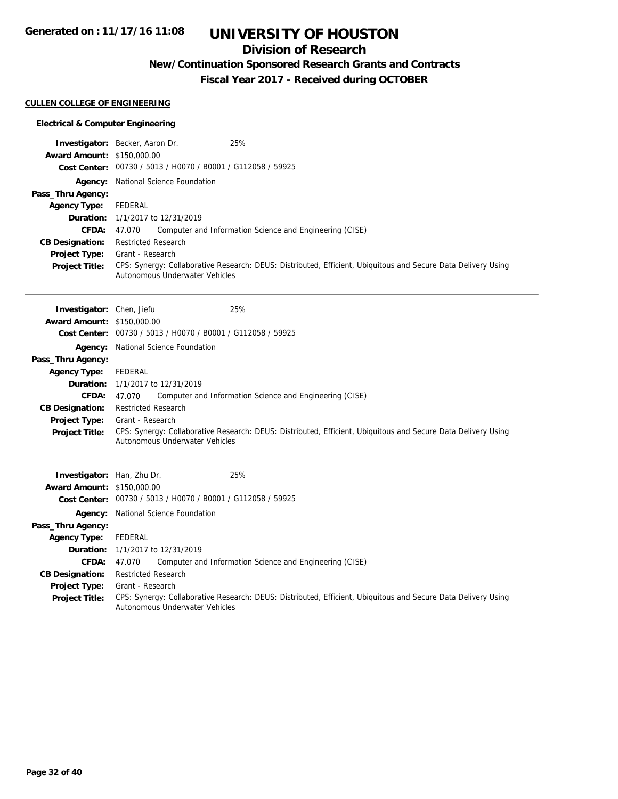### **Division of Research**

## **New/Continuation Sponsored Research Grants and Contracts**

**Fiscal Year 2017 - Received during OCTOBER**

#### **CULLEN COLLEGE OF ENGINEERING**

#### **Electrical & Computer Engineering**

|                                   | Investigator: Becker, Aaron Dr.<br>25%                                                                                                          |
|-----------------------------------|-------------------------------------------------------------------------------------------------------------------------------------------------|
| <b>Award Amount: \$150,000.00</b> |                                                                                                                                                 |
|                                   | Cost Center: 00730 / 5013 / H0070 / B0001 / G112058 / 59925                                                                                     |
|                                   | Agency: National Science Foundation                                                                                                             |
| Pass_Thru Agency:                 |                                                                                                                                                 |
| <b>Agency Type:</b>               | <b>FEDERAL</b>                                                                                                                                  |
| Duration:                         | 1/1/2017 to 12/31/2019                                                                                                                          |
| <b>CFDA:</b>                      | 47.070<br>Computer and Information Science and Engineering (CISE)                                                                               |
| <b>CB Designation:</b>            | Restricted Research                                                                                                                             |
| <b>Project Type:</b>              | Grant - Research                                                                                                                                |
| <b>Project Title:</b>             | CPS: Synergy: Collaborative Research: DEUS: Distributed, Efficient, Ubiquitous and Secure Data Delivery Using<br>Autonomous Underwater Vehicles |
|                                   |                                                                                                                                                 |
| Investigator: Chen, Jiefu         | 25%                                                                                                                                             |
| <b>Award Amount: \$150,000.00</b> |                                                                                                                                                 |
|                                   | Cost Center: 00730 / 5013 / H0070 / B0001 / G112058 / 59925                                                                                     |
|                                   | Agency: National Science Foundation                                                                                                             |
| Pass_Thru Agency:                 |                                                                                                                                                 |
| <b>Agency Type:</b>               | <b>FEDERAL</b>                                                                                                                                  |
| Duration:                         | 1/1/2017 to 12/31/2019                                                                                                                          |
| <b>CFDA:</b>                      | Computer and Information Science and Engineering (CISE)<br>47.070                                                                               |
| <b>CB Designation:</b>            | <b>Restricted Research</b>                                                                                                                      |
| <b>Project Type:</b>              | Grant - Research                                                                                                                                |
| <b>Project Title:</b>             | CPS: Synergy: Collaborative Research: DEUS: Distributed, Efficient, Ubiquitous and Secure Data Delivery Using                                   |
|                                   | Autonomous Underwater Vehicles                                                                                                                  |
|                                   |                                                                                                                                                 |
| Investigator: Han, Zhu Dr.        | 25%                                                                                                                                             |
| Award Amount: \$150,000.00        |                                                                                                                                                 |
|                                   | Cost Center: 00730 / 5013 / H0070 / B0001 / G112058 / 59925                                                                                     |
|                                   | Agency: National Science Foundation                                                                                                             |
| Pass_Thru Agency:                 |                                                                                                                                                 |
| <b>Agency Type:</b>               | <b>FEDERAL</b>                                                                                                                                  |
| Duration:                         | 1/1/2017 to 12/31/2019                                                                                                                          |
| CFDA:                             | 47.070<br>Computer and Information Science and Engineering (CISE)                                                                               |
| <b>CB Designation:</b>            | <b>Restricted Research</b>                                                                                                                      |
| Project Type:                     | Grant - Research                                                                                                                                |
| <b>Project Title:</b>             | CPS: Synergy: Collaborative Research: DEUS: Distributed, Efficient, Ubiquitous and Secure Data Delivery Using<br>Autonomous Underwater Vehicles |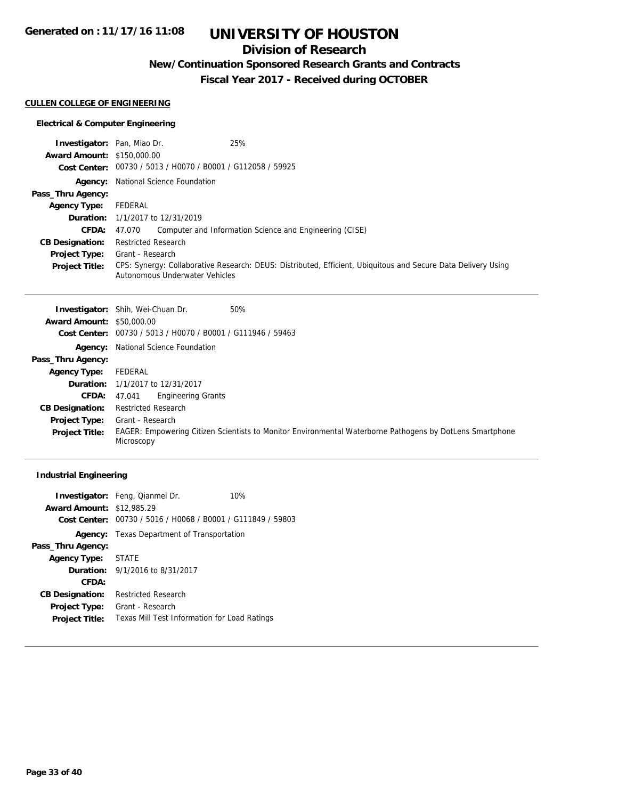### **Division of Research**

## **New/Continuation Sponsored Research Grants and Contracts**

**Fiscal Year 2017 - Received during OCTOBER**

#### **CULLEN COLLEGE OF ENGINEERING**

#### **Electrical & Computer Engineering**

| <b>Investigator:</b> Pan, Miao Dr. | 25%                                                                                                                                             |
|------------------------------------|-------------------------------------------------------------------------------------------------------------------------------------------------|
| <b>Award Amount: \$150,000.00</b>  |                                                                                                                                                 |
|                                    | Cost Center: 00730 / 5013 / H0070 / B0001 / G112058 / 59925                                                                                     |
|                                    | <b>Agency:</b> National Science Foundation                                                                                                      |
| Pass_Thru Agency:                  |                                                                                                                                                 |
| <b>Agency Type:</b>                | FEDERAL                                                                                                                                         |
|                                    | <b>Duration:</b> 1/1/2017 to 12/31/2019                                                                                                         |
| CFDA:                              | Computer and Information Science and Engineering (CISE)<br>47.070                                                                               |
| <b>CB Designation:</b>             | <b>Restricted Research</b>                                                                                                                      |
| <b>Project Type:</b>               | Grant - Research                                                                                                                                |
| <b>Project Title:</b>              | CPS: Synergy: Collaborative Research: DEUS: Distributed, Efficient, Ubiquitous and Secure Data Delivery Using<br>Autonomous Underwater Vehicles |

|                                  | 50%<br><b>Investigator:</b> Shih, Wei-Chuan Dr.                                                                        |
|----------------------------------|------------------------------------------------------------------------------------------------------------------------|
| <b>Award Amount: \$50,000.00</b> |                                                                                                                        |
|                                  | Cost Center: 00730 / 5013 / H0070 / B0001 / G111946 / 59463                                                            |
|                                  | <b>Agency:</b> National Science Foundation                                                                             |
| Pass_Thru Agency:                |                                                                                                                        |
| <b>Agency Type:</b>              | FEDERAL                                                                                                                |
|                                  | <b>Duration:</b> 1/1/2017 to 12/31/2017                                                                                |
| <b>CFDA:</b>                     | <b>Engineering Grants</b><br>47.041                                                                                    |
| <b>CB Designation:</b>           | <b>Restricted Research</b>                                                                                             |
| <b>Project Type:</b>             | Grant - Research                                                                                                       |
| <b>Project Title:</b>            | EAGER: Empowering Citizen Scientists to Monitor Environmental Waterborne Pathogens by DotLens Smartphone<br>Microscopy |

### **Industrial Engineering**

|                                  | <b>Investigator:</b> Feng, Qianmei Dr.                      | 10% |
|----------------------------------|-------------------------------------------------------------|-----|
| <b>Award Amount: \$12,985.29</b> |                                                             |     |
|                                  | Cost Center: 00730 / 5016 / H0068 / B0001 / G111849 / 59803 |     |
|                                  | Agency: Texas Department of Transportation                  |     |
| Pass_Thru Agency:                |                                                             |     |
| Agency Type: STATE               |                                                             |     |
|                                  | <b>Duration:</b> $9/1/2016$ to $8/31/2017$                  |     |
| CFDA:                            |                                                             |     |
| <b>CB Designation:</b>           | <b>Restricted Research</b>                                  |     |
| <b>Project Type:</b>             | Grant - Research                                            |     |
| <b>Project Title:</b>            | Texas Mill Test Information for Load Ratings                |     |
|                                  |                                                             |     |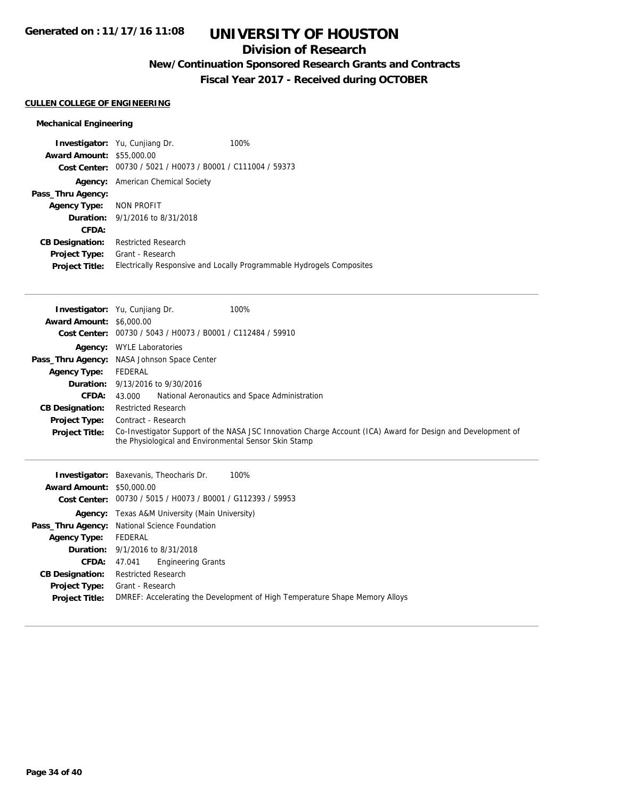## **Division of Research**

## **New/Continuation Sponsored Research Grants and Contracts**

**Fiscal Year 2017 - Received during OCTOBER**

#### **CULLEN COLLEGE OF ENGINEERING**

#### **Mechanical Engineering**

|                                  | <b>Investigator:</b> Yu, Cunjiang Dr.          | 100%                                                                  |
|----------------------------------|------------------------------------------------|-----------------------------------------------------------------------|
| <b>Award Amount: \$55,000.00</b> |                                                |                                                                       |
| Cost Center:                     | 00730 / 5021 / H0073 / B0001 / C111004 / 59373 |                                                                       |
| Agency:                          | American Chemical Society                      |                                                                       |
| Pass_Thru Agency:                |                                                |                                                                       |
| Agency Type:                     | NON PROFIT                                     |                                                                       |
|                                  | <b>Duration:</b> 9/1/2016 to 8/31/2018         |                                                                       |
| CFDA:                            |                                                |                                                                       |
| <b>CB Designation:</b>           | <b>Restricted Research</b>                     |                                                                       |
| <b>Project Type:</b>             | Grant - Research                               |                                                                       |
| <b>Project Title:</b>            |                                                | Electrically Responsive and Locally Programmable Hydrogels Composites |

| <b>Award Amount: \$6,000.00</b><br>Cost Center: | 100%<br><b>Investigator:</b> Yu, Cunjiang Dr.<br>00730 / 5043 / H0073 / B0001 / C112484 / 59910                                                                      |  |  |
|-------------------------------------------------|----------------------------------------------------------------------------------------------------------------------------------------------------------------------|--|--|
|                                                 | <b>Agency:</b> WYLE Laboratories                                                                                                                                     |  |  |
|                                                 | Pass_Thru Agency: NASA Johnson Space Center                                                                                                                          |  |  |
| <b>Agency Type:</b>                             | FEDERAL                                                                                                                                                              |  |  |
| <b>Duration:</b>                                | 9/13/2016 to 9/30/2016                                                                                                                                               |  |  |
| <b>CFDA:</b>                                    | National Aeronautics and Space Administration<br>43.000                                                                                                              |  |  |
| <b>CB Designation:</b>                          | <b>Restricted Research</b>                                                                                                                                           |  |  |
| <b>Project Type:</b>                            | Contract - Research                                                                                                                                                  |  |  |
| <b>Project Title:</b>                           | Co-Investigator Support of the NASA JSC Innovation Charge Account (ICA) Award for Design and Development of<br>the Physiological and Environmental Sensor Skin Stamp |  |  |
|                                                 | <b>Investigator:</b> Baxevanis, Theocharis Dr.<br>100%                                                                                                               |  |  |
| <b>Award Amount: \$50,000.00</b>                |                                                                                                                                                                      |  |  |

| <b>Award Amount: \$50,000.00</b> |                                                                             |  |
|----------------------------------|-----------------------------------------------------------------------------|--|
|                                  | Cost Center: 00730 / 5015 / H0073 / B0001 / G112393 / 59953                 |  |
|                                  | <b>Agency:</b> Texas A&M University (Main University)                       |  |
|                                  | <b>Pass_Thru Agency:</b> National Science Foundation                        |  |
| <b>Agency Type:</b>              | FEDERAL                                                                     |  |
|                                  | <b>Duration:</b> 9/1/2016 to 8/31/2018                                      |  |
|                                  | <b>CFDA:</b> 47.041 Engineering Grants                                      |  |
| <b>CB Designation:</b>           | Restricted Research                                                         |  |
|                                  | <b>Project Type:</b> Grant - Research                                       |  |
| <b>Project Title:</b>            | DMREF: Accelerating the Development of High Temperature Shape Memory Alloys |  |
|                                  |                                                                             |  |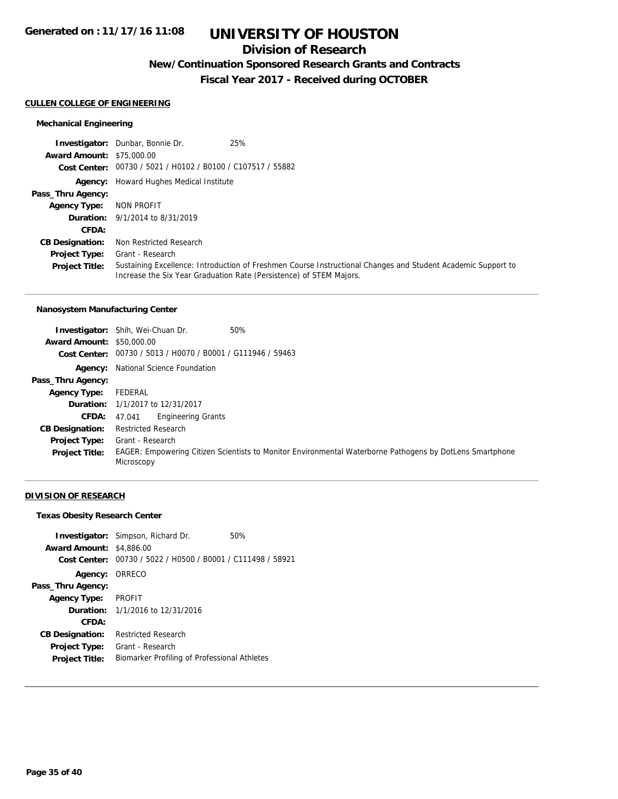### **Division of Research**

### **New/Continuation Sponsored Research Grants and Contracts**

**Fiscal Year 2017 - Received during OCTOBER**

#### **CULLEN COLLEGE OF ENGINEERING**

#### **Mechanical Engineering**

**Investigator:** Dunbar, Bonnie Dr. 25% **Award Amount:** \$75,000.00 **Cost Center:** 00730 / 5021 / H0102 / B0100 / C107517 / 55882 **Agency:** Howard Hughes Medical Institute **Pass\_Thru Agency: Agency Type:** NON PROFIT **Duration:** 9/1/2014 to 8/31/2019 **CFDA: CB Designation:** Non Restricted Research **Project Type: Project Title:** Sustaining Excellence: Introduction of Freshmen Course Instructional Changes and Student Academic Support to Increase the Six Year Graduation Rate (Persistence) of STEM Majors. Grant - Research

### **Nanosystem Manufacturing Center**

|                                  | 50%<br><b>Investigator:</b> Shih, Wei-Chuan Dr.                                                                        |
|----------------------------------|------------------------------------------------------------------------------------------------------------------------|
| <b>Award Amount: \$50,000.00</b> |                                                                                                                        |
|                                  | Cost Center: 00730 / 5013 / H0070 / B0001 / G111946 / 59463                                                            |
|                                  | <b>Agency:</b> National Science Foundation                                                                             |
| Pass_Thru Agency:                |                                                                                                                        |
| <b>Agency Type:</b>              | FEDERAL                                                                                                                |
|                                  | <b>Duration:</b> 1/1/2017 to 12/31/2017                                                                                |
| <b>CFDA:</b> $47.041$            | <b>Engineering Grants</b>                                                                                              |
| <b>CB Designation:</b>           | <b>Restricted Research</b>                                                                                             |
| <b>Project Type:</b>             | Grant - Research                                                                                                       |
| <b>Project Title:</b>            | EAGER: Empowering Citizen Scientists to Monitor Environmental Waterborne Pathogens by DotLens Smartphone<br>Microscopy |

#### **DIVISION OF RESEARCH**

#### **Texas Obesity Research Center**

| <b>Investigator:</b> Simpson, Richard Dr.<br>50%<br><b>Award Amount: \$4,886,00</b><br>Cost Center: 00730 / 5022 / H0500 / B0001 / C111498 / 58921 |  |
|----------------------------------------------------------------------------------------------------------------------------------------------------|--|
| Agency: ORRECO                                                                                                                                     |  |
| Pass_Thru Agency:                                                                                                                                  |  |
| PROFIT<br><b>Agency Type:</b>                                                                                                                      |  |
| <b>Duration:</b> 1/1/2016 to 12/31/2016                                                                                                            |  |
| CFDA:                                                                                                                                              |  |
| Restricted Research<br><b>CB Designation:</b>                                                                                                      |  |
| Grant - Research<br><b>Project Type:</b>                                                                                                           |  |
| Biomarker Profiling of Professional Athletes<br><b>Project Title:</b>                                                                              |  |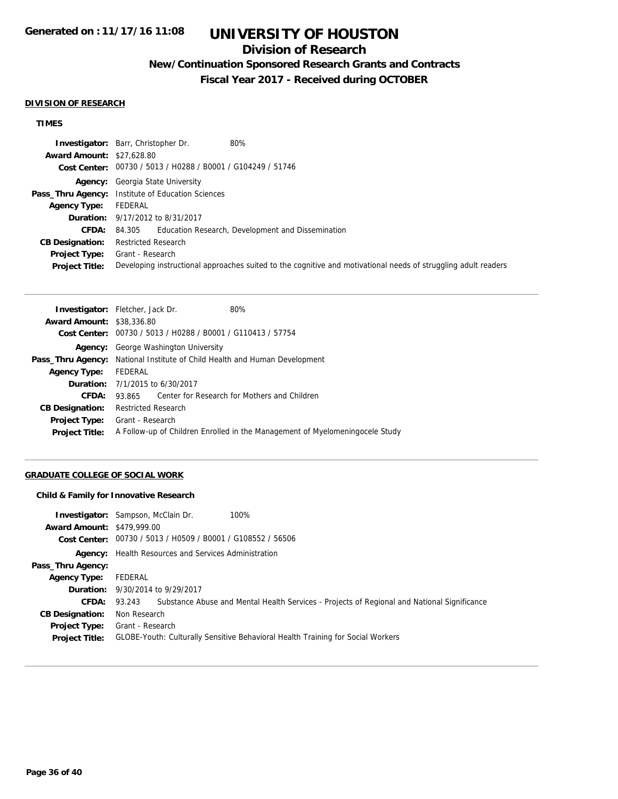### **Division of Research**

### **New/Continuation Sponsored Research Grants and Contracts**

**Fiscal Year 2017 - Received during OCTOBER**

#### **DIVISION OF RESEARCH**

#### **TIMES**

|                                  | 80%<br><b>Investigator:</b> Barr, Christopher Dr.                                                              |
|----------------------------------|----------------------------------------------------------------------------------------------------------------|
| <b>Award Amount: \$27,628.80</b> |                                                                                                                |
|                                  | Cost Center: 00730 / 5013 / H0288 / B0001 / G104249 / 51746                                                    |
|                                  | <b>Agency:</b> Georgia State University                                                                        |
|                                  | <b>Pass_Thru Agency:</b> Institute of Education Sciences                                                       |
| <b>Agency Type:</b>              | FEDERAL                                                                                                        |
|                                  | <b>Duration:</b> 9/17/2012 to 8/31/2017                                                                        |
| <b>CFDA:</b>                     | 84.305 Education Research, Development and Dissemination                                                       |
| <b>CB Designation:</b>           | <b>Restricted Research</b>                                                                                     |
| <b>Project Type:</b>             | Grant - Research                                                                                               |
| <b>Project Title:</b>            | Developing instructional approaches suited to the cognitive and motivational needs of struggling adult readers |

| <b>Investigator:</b> Fletcher, Jack Dr.<br>80%                                    |  |  |
|-----------------------------------------------------------------------------------|--|--|
| <b>Award Amount: \$38,336.80</b>                                                  |  |  |
| Cost Center: 00730 / 5013 / H0288 / B0001 / G110413 / 57754                       |  |  |
| <b>Agency:</b> George Washington University                                       |  |  |
| <b>Pass_Thru Agency:</b> National Institute of Child Health and Human Development |  |  |
| FEDERAL                                                                           |  |  |
| <b>Duration:</b> 7/1/2015 to 6/30/2017                                            |  |  |
| 93.865 Center for Research for Mothers and Children                               |  |  |
| <b>Restricted Research</b>                                                        |  |  |
| Grant - Research                                                                  |  |  |
| A Follow-up of Children Enrolled in the Management of Myelomening ocele Study     |  |  |
|                                                                                   |  |  |

### **GRADUATE COLLEGE OF SOCIAL WORK**

#### **Child & Family for Innovative Research**

| <b>Award Amount: \$479,999.00</b>             | <b>Investigator:</b> Sampson, McClain Dr.<br>100%<br>Cost Center: 00730 / 5013 / H0509 / B0001 / G108552 / 56506 |
|-----------------------------------------------|------------------------------------------------------------------------------------------------------------------|
|                                               | <b>Agency:</b> Health Resources and Services Administration                                                      |
| Pass_Thru Agency:                             |                                                                                                                  |
| <b>Agency Type:</b>                           | FEDERAL                                                                                                          |
|                                               | <b>Duration:</b> 9/30/2014 to 9/29/2017                                                                          |
| <b>CFDA:</b>                                  | 93.243 Substance Abuse and Mental Health Services - Projects of Regional and National Significance               |
| <b>CB Designation:</b>                        | Non Research                                                                                                     |
| <b>Project Type:</b><br><b>Project Title:</b> | Grant - Research<br>GLOBE-Youth: Culturally Sensitive Behavioral Health Training for Social Workers              |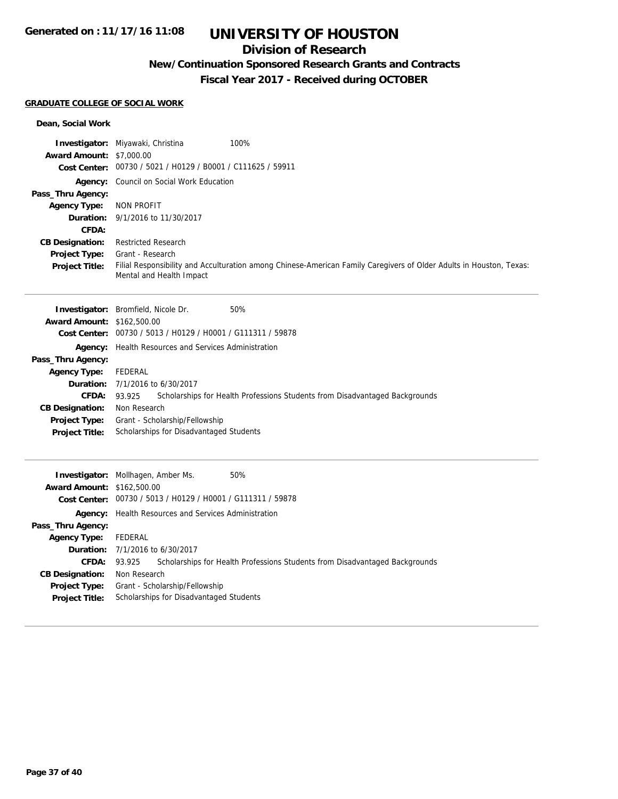### **Division of Research**

## **New/Continuation Sponsored Research Grants and Contracts**

**Fiscal Year 2017 - Received during OCTOBER**

#### **GRADUATE COLLEGE OF SOCIAL WORK**

#### **Dean, Social Work**

|                                 | 100%<br><b>Investigator:</b> Miyawaki, Christina                                                                                                |
|---------------------------------|-------------------------------------------------------------------------------------------------------------------------------------------------|
| <b>Award Amount: \$7,000.00</b> |                                                                                                                                                 |
|                                 | Cost Center: 00730 / 5021 / H0129 / B0001 / C111625 / 59911                                                                                     |
|                                 | Agency: Council on Social Work Education                                                                                                        |
| Pass_Thru Agency:               |                                                                                                                                                 |
| <b>Agency Type:</b>             | NON PROFIT                                                                                                                                      |
|                                 | <b>Duration:</b> 9/1/2016 to 11/30/2017                                                                                                         |
| CFDA:                           |                                                                                                                                                 |
| <b>CB Designation:</b>          | <b>Restricted Research</b>                                                                                                                      |
| <b>Project Type:</b>            | Grant - Research                                                                                                                                |
| <b>Project Title:</b>           | Filial Responsibility and Acculturation among Chinese-American Family Caregivers of Older Adults in Houston, Texas:<br>Mental and Health Impact |

|                                   | <b>Investigator:</b> Bromfield, Nicole Dr.                  | 50%                                                                         |  |
|-----------------------------------|-------------------------------------------------------------|-----------------------------------------------------------------------------|--|
| <b>Award Amount: \$162,500.00</b> |                                                             |                                                                             |  |
|                                   | Cost Center: 00730 / 5013 / H0129 / H0001 / G111311 / 59878 |                                                                             |  |
|                                   | <b>Agency:</b> Health Resources and Services Administration |                                                                             |  |
| Pass_Thru Agency:                 |                                                             |                                                                             |  |
| <b>Agency Type:</b>               | FEDERAL                                                     |                                                                             |  |
|                                   | <b>Duration:</b> 7/1/2016 to 6/30/2017                      |                                                                             |  |
| <b>CFDA:</b>                      | 93.925                                                      | Scholarships for Health Professions Students from Disadvantaged Backgrounds |  |
| <b>CB Designation:</b>            | Non Research                                                |                                                                             |  |
| <b>Project Type:</b>              | Grant - Scholarship/Fellowship                              |                                                                             |  |
| <b>Project Title:</b>             | Scholarships for Disadvantaged Students                     |                                                                             |  |
|                                   |                                                             |                                                                             |  |

|                                   | 50%<br><b>Investigator:</b> Mollhagen, Amber Ms.                                      |
|-----------------------------------|---------------------------------------------------------------------------------------|
| <b>Award Amount: \$162,500.00</b> |                                                                                       |
|                                   | Cost Center: 00730 / 5013 / H0129 / H0001 / G111311 / 59878                           |
|                                   | <b>Agency:</b> Health Resources and Services Administration                           |
| Pass_Thru Agency:                 |                                                                                       |
| <b>Agency Type:</b>               | FEDERAL                                                                               |
|                                   | <b>Duration:</b> 7/1/2016 to 6/30/2017                                                |
| <b>CFDA:</b>                      | Scholarships for Health Professions Students from Disadvantaged Backgrounds<br>93.925 |
| <b>CB Designation:</b>            | Non Research                                                                          |
| <b>Project Type:</b>              | Grant - Scholarship/Fellowship                                                        |
| <b>Project Title:</b>             | Scholarships for Disadvantaged Students                                               |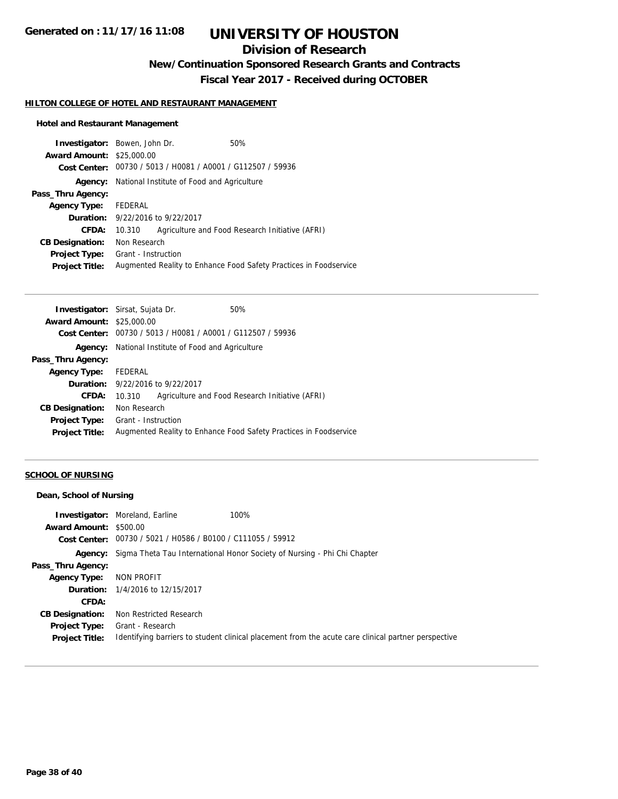## **Division of Research**

**New/Continuation Sponsored Research Grants and Contracts**

**Fiscal Year 2017 - Received during OCTOBER**

#### **HILTON COLLEGE OF HOTEL AND RESTAURANT MANAGEMENT**

#### **Hotel and Restaurant Management**

| <b>Investigator:</b> Bowen, John Dr. |                                                                   |  | 50%                                             |
|--------------------------------------|-------------------------------------------------------------------|--|-------------------------------------------------|
| <b>Award Amount: \$25,000.00</b>     |                                                                   |  |                                                 |
|                                      | Cost Center: 00730 / 5013 / H0081 / A0001 / G112507 / 59936       |  |                                                 |
| Agency:                              | National Institute of Food and Agriculture                        |  |                                                 |
| Pass_Thru Agency:                    |                                                                   |  |                                                 |
| <b>Agency Type:</b>                  | FEDERAL                                                           |  |                                                 |
|                                      | <b>Duration:</b> 9/22/2016 to 9/22/2017                           |  |                                                 |
| CFDA:                                | 10.310                                                            |  | Agriculture and Food Research Initiative (AFRI) |
| <b>CB Designation:</b>               | Non Research                                                      |  |                                                 |
| <b>Project Type:</b>                 | Grant - Instruction                                               |  |                                                 |
| <b>Project Title:</b>                | Augmented Reality to Enhance Food Safety Practices in Foodservice |  |                                                 |

| <b>Investigator:</b> Sirsat, Sujata Dr. |                                                                   |  | 50%                                             |  |
|-----------------------------------------|-------------------------------------------------------------------|--|-------------------------------------------------|--|
| <b>Award Amount: \$25,000.00</b>        |                                                                   |  |                                                 |  |
| Cost Center:                            | 00730 / 5013 / H0081 / A0001 / G112507 / 59936                    |  |                                                 |  |
| Agency:                                 | National Institute of Food and Agriculture                        |  |                                                 |  |
| Pass_Thru Agency:                       |                                                                   |  |                                                 |  |
| <b>Agency Type:</b>                     | FEDERAL                                                           |  |                                                 |  |
|                                         | <b>Duration:</b> 9/22/2016 to 9/22/2017                           |  |                                                 |  |
| CFDA:                                   | 10.310                                                            |  | Agriculture and Food Research Initiative (AFRI) |  |
| <b>CB Designation:</b>                  | Non Research                                                      |  |                                                 |  |
| <b>Project Type:</b>                    | Grant - Instruction                                               |  |                                                 |  |
| <b>Project Title:</b>                   | Augmented Reality to Enhance Food Safety Practices in Foodservice |  |                                                 |  |
|                                         |                                                                   |  |                                                 |  |

### **SCHOOL OF NURSING**

#### **Dean, School of Nursing**

|                               | <b>Investigator:</b> Moreland, Earline                      | 100%                                                                                                |
|-------------------------------|-------------------------------------------------------------|-----------------------------------------------------------------------------------------------------|
| <b>Award Amount: \$500.00</b> |                                                             |                                                                                                     |
|                               | Cost Center: 00730 / 5021 / H0586 / B0100 / C111055 / 59912 |                                                                                                     |
|                               |                                                             | Agency: Sigma Theta Tau International Honor Society of Nursing - Phi Chi Chapter                    |
| Pass_Thru Agency:             |                                                             |                                                                                                     |
| <b>Agency Type:</b>           | NON PROFIT                                                  |                                                                                                     |
|                               | <b>Duration:</b> 1/4/2016 to 12/15/2017                     |                                                                                                     |
| CFDA:                         |                                                             |                                                                                                     |
| <b>CB Designation:</b>        | Non Restricted Research                                     |                                                                                                     |
| <b>Project Type:</b>          | Grant - Research                                            |                                                                                                     |
| <b>Project Title:</b>         |                                                             | Identifying barriers to student clinical placement from the acute care clinical partner perspective |
|                               |                                                             |                                                                                                     |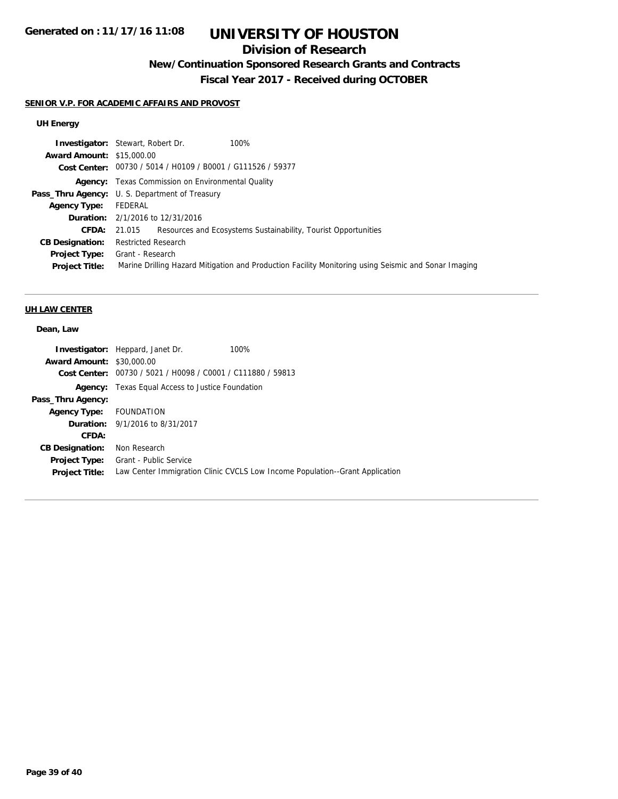## **Division of Research**

## **New/Continuation Sponsored Research Grants and Contracts**

**Fiscal Year 2017 - Received during OCTOBER**

#### **SENIOR V.P. FOR ACADEMIC AFFAIRS AND PROVOST**

### **UH Energy**

|                                  | 100%<br><b>Investigator:</b> Stewart, Robert Dr.                                   |                                                                                                      |
|----------------------------------|------------------------------------------------------------------------------------|------------------------------------------------------------------------------------------------------|
| <b>Award Amount: \$15,000.00</b> |                                                                                    |                                                                                                      |
|                                  | Cost Center: 00730 / 5014 / H0109 / B0001 / G111526 / 59377                        |                                                                                                      |
|                                  | <b>Agency:</b> Texas Commission on Environmental Quality                           |                                                                                                      |
|                                  | <b>Pass_Thru Agency:</b> U.S. Department of Treasury                               |                                                                                                      |
| Agency Type:                     | FEDERAL                                                                            |                                                                                                      |
|                                  | <b>Duration:</b> 2/1/2016 to 12/31/2016                                            |                                                                                                      |
|                                  | <b>CFDA:</b> 21.015 Resources and Ecosystems Sustainability, Tourist Opportunities |                                                                                                      |
| <b>CB Designation:</b>           | <b>Restricted Research</b>                                                         |                                                                                                      |
| <b>Project Type:</b>             | Grant - Research                                                                   |                                                                                                      |
| <b>Project Title:</b>            |                                                                                    | Marine Drilling Hazard Mitigation and Production Facility Monitoring using Seismic and Sonar Imaging |

#### **UH LAW CENTER**

#### **Dean, Law**

|                                  | 100%<br><b>Investigator:</b> Heppard, Janet Dr.                              |
|----------------------------------|------------------------------------------------------------------------------|
| <b>Award Amount: \$30,000.00</b> |                                                                              |
|                                  | Cost Center: 00730 / 5021 / H0098 / C0001 / C111880 / 59813                  |
| Agency:                          | Texas Equal Access to Justice Foundation                                     |
| Pass_Thru Agency:                |                                                                              |
| Agency Type: FOUNDATION          |                                                                              |
|                                  | <b>Duration:</b> 9/1/2016 to 8/31/2017                                       |
| CFDA:                            |                                                                              |
| <b>CB Designation:</b>           | Non Research                                                                 |
| <b>Project Type:</b>             | Grant - Public Service                                                       |
| <b>Project Title:</b>            | Law Center Immigration Clinic CVCLS Low Income Population--Grant Application |